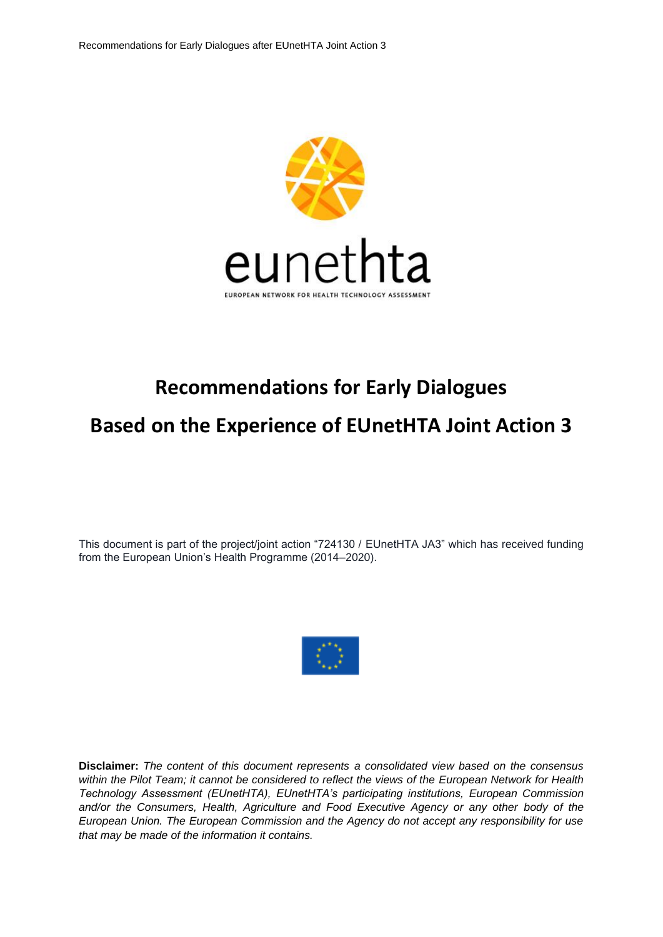

# **Recommendations for Early Dialogues Based on the Experience of EUnetHTA Joint Action 3**

This document is part of the project/joint action "724130 / EUnetHTA JA3" which has received funding from the European Union's Health Programme (2014–2020).



**Disclaimer:** *The content of this document represents a consolidated view based on the consensus within the Pilot Team; it cannot be considered to reflect the views of the European Network for Health Technology Assessment (EUnetHTA), EUnetHTA's participating institutions, European Commission and/or the Consumers, Health, Agriculture and Food Executive Agency or any other body of the European Union. The European Commission and the Agency do not accept any responsibility for use that may be made of the information it contains.*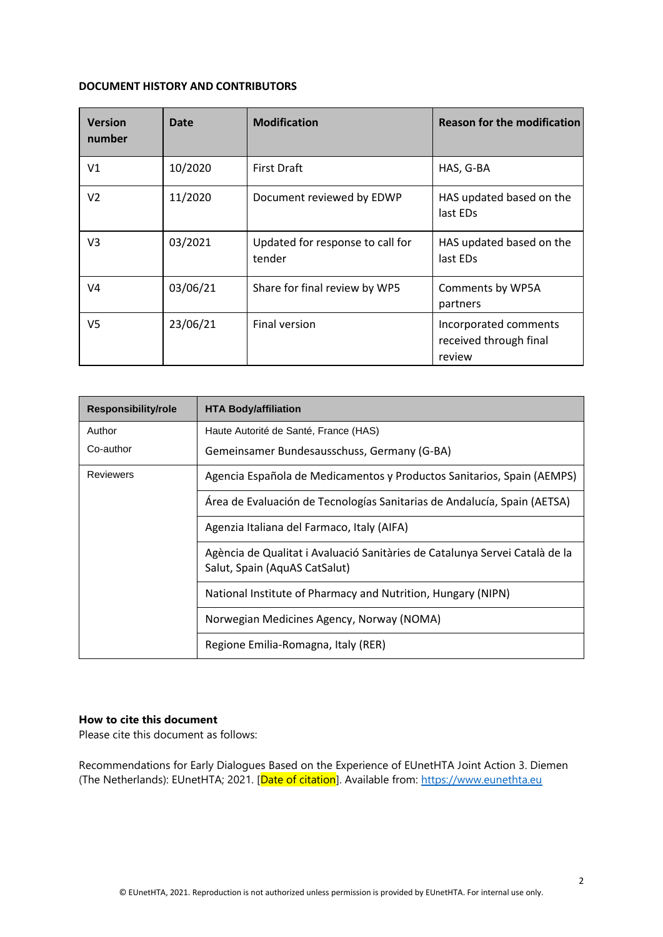#### **DOCUMENT HISTORY AND CONTRIBUTORS**

| <b>Version</b><br>number | <b>Date</b> | <b>Modification</b>                        | <b>Reason for the modification</b>                        |
|--------------------------|-------------|--------------------------------------------|-----------------------------------------------------------|
| V1                       | 10/2020     | <b>First Draft</b>                         | HAS, G-BA                                                 |
| V <sub>2</sub>           | 11/2020     | Document reviewed by EDWP                  | HAS updated based on the<br>last EDs                      |
| V3                       | 03/2021     | Updated for response to call for<br>tender | HAS updated based on the<br>last EDs                      |
| V4                       | 03/06/21    | Share for final review by WP5              | Comments by WP5A<br>partners                              |
| V5                       | 23/06/21    | Final version                              | Incorporated comments<br>received through final<br>review |

| Responsibility/role                        | <b>HTA Body/affiliation</b>                                                                                  |  |
|--------------------------------------------|--------------------------------------------------------------------------------------------------------------|--|
| Author                                     | Haute Autorité de Santé, France (HAS)                                                                        |  |
| Co-author                                  | Gemeinsamer Bundesausschuss, Germany (G-BA)                                                                  |  |
| <b>Reviewers</b>                           | Agencia Española de Medicamentos y Productos Sanitarios, Spain (AEMPS)                                       |  |
|                                            | Área de Evaluación de Tecnologías Sanitarias de Andalucía, Spain (AETSA)                                     |  |
| Agenzia Italiana del Farmaco, Italy (AIFA) |                                                                                                              |  |
|                                            | Agència de Qualitat i Avaluació Sanitàries de Catalunya Servei Català de la<br>Salut, Spain (AquAS CatSalut) |  |
|                                            | National Institute of Pharmacy and Nutrition, Hungary (NIPN)                                                 |  |
|                                            | Norwegian Medicines Agency, Norway (NOMA)                                                                    |  |
|                                            | Regione Emilia-Romagna, Italy (RER)                                                                          |  |

#### **How to cite this document**

Please cite this document as follows:

Recommendations for Early Dialogues Based on the Experience of EUnetHTA Joint Action 3. Diemen (The Netherlands): EUnetHTA; 2021. [Date of citation]. Available from: [https://www.eunethta.eu](https://www.eunethta.eu/)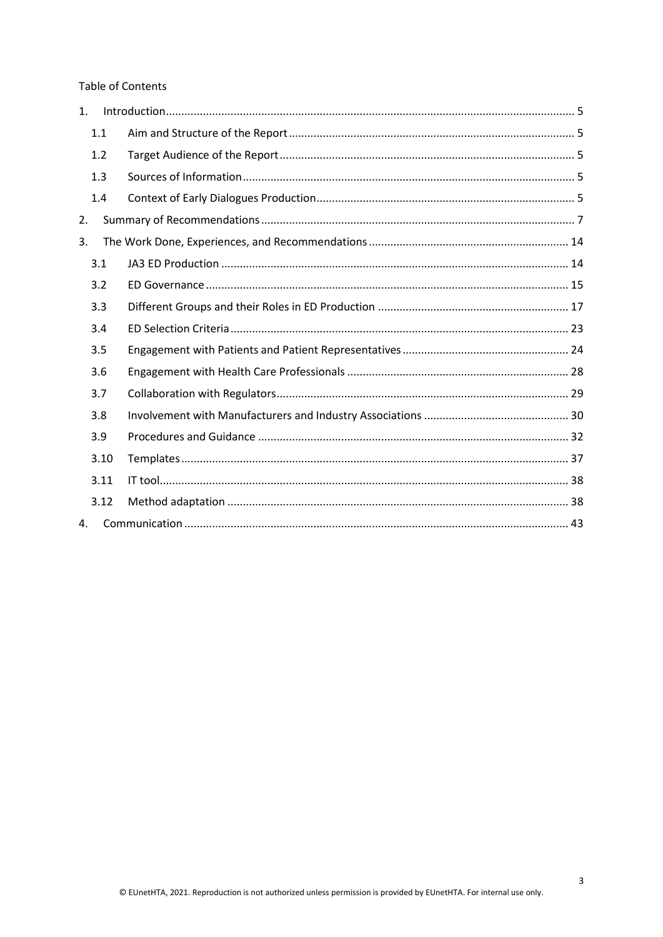**Table of Contents** 

| 1. |      |  |
|----|------|--|
|    | 1.1  |  |
|    | 1.2  |  |
|    | 1.3  |  |
|    | 1.4  |  |
| 2. |      |  |
| 3. |      |  |
|    | 3.1  |  |
|    | 3.2  |  |
|    | 3.3  |  |
|    | 3.4  |  |
|    | 3.5  |  |
|    | 3.6  |  |
|    | 3.7  |  |
|    | 3.8  |  |
|    | 3.9  |  |
|    | 3.10 |  |
|    | 3.11 |  |
|    | 3.12 |  |
| 4. |      |  |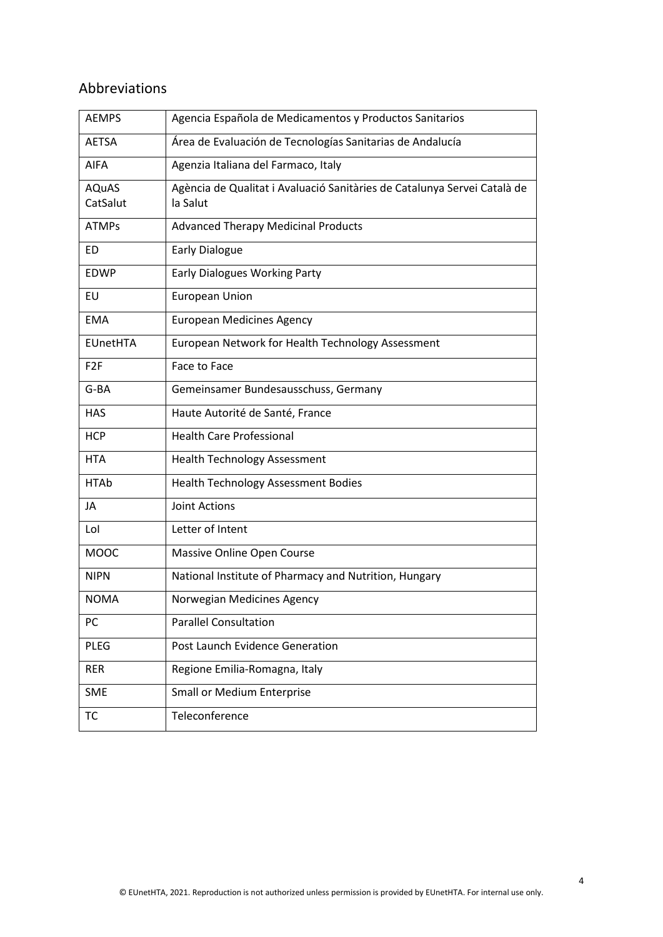# Abbreviations

| <b>AEMPS</b>             | Agencia Española de Medicamentos y Productos Sanitarios                              |
|--------------------------|--------------------------------------------------------------------------------------|
| <b>AETSA</b>             | Área de Evaluación de Tecnologías Sanitarias de Andalucía                            |
| <b>AIFA</b>              | Agenzia Italiana del Farmaco, Italy                                                  |
| <b>AQuAS</b><br>CatSalut | Agència de Qualitat i Avaluació Sanitàries de Catalunya Servei Català de<br>la Salut |
| <b>ATMPs</b>             | <b>Advanced Therapy Medicinal Products</b>                                           |
| ED                       | <b>Early Dialogue</b>                                                                |
| <b>EDWP</b>              | <b>Early Dialogues Working Party</b>                                                 |
| EU                       | <b>European Union</b>                                                                |
| <b>EMA</b>               | <b>European Medicines Agency</b>                                                     |
| <b>EUnetHTA</b>          | European Network for Health Technology Assessment                                    |
| F <sub>2F</sub>          | Face to Face                                                                         |
| G-BA                     | Gemeinsamer Bundesausschuss, Germany                                                 |
| <b>HAS</b>               | Haute Autorité de Santé, France                                                      |
| <b>HCP</b>               | <b>Health Care Professional</b>                                                      |
| <b>HTA</b>               | <b>Health Technology Assessment</b>                                                  |
| <b>HTAb</b>              | <b>Health Technology Assessment Bodies</b>                                           |
| JA                       | <b>Joint Actions</b>                                                                 |
| Lol                      | Letter of Intent                                                                     |
| <b>MOOC</b>              | Massive Online Open Course                                                           |
| <b>NIPN</b>              | National Institute of Pharmacy and Nutrition, Hungary                                |
| <b>NOMA</b>              | Norwegian Medicines Agency                                                           |
| PC                       | <b>Parallel Consultation</b>                                                         |
| <b>PLEG</b>              | Post Launch Evidence Generation                                                      |
| <b>RER</b>               | Regione Emilia-Romagna, Italy                                                        |
| <b>SME</b>               | <b>Small or Medium Enterprise</b>                                                    |
| ТC                       | Teleconference                                                                       |
|                          |                                                                                      |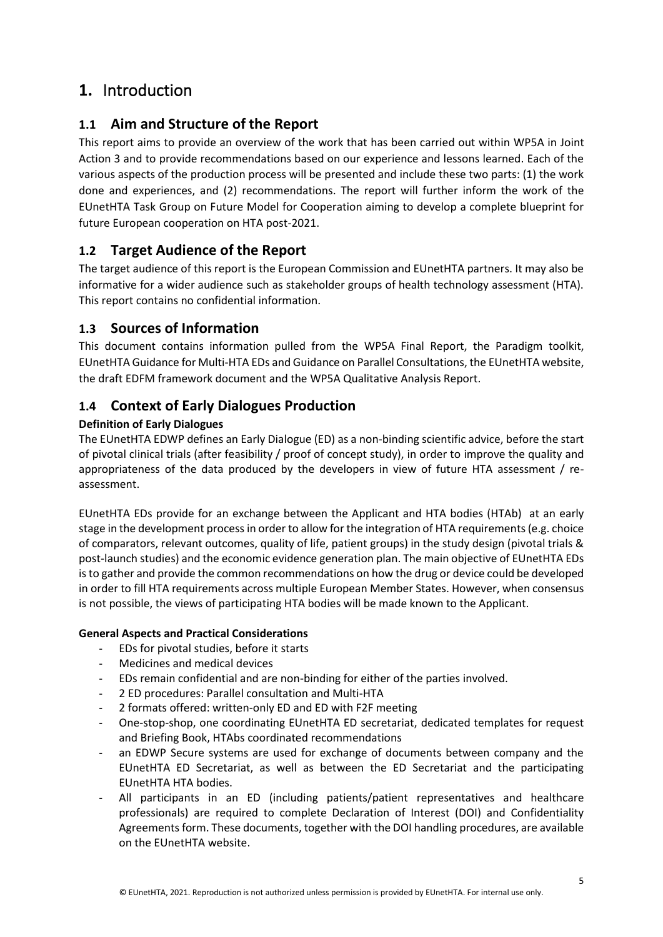# <span id="page-4-0"></span>**1.** Introduction

# <span id="page-4-1"></span>**1.1 Aim and Structure of the Report**

This report aims to provide an overview of the work that has been carried out within WP5A in Joint Action 3 and to provide recommendations based on our experience and lessons learned. Each of the various aspects of the production process will be presented and include these two parts: (1) the work done and experiences, and (2) recommendations. The report will further inform the work of the EUnetHTA Task Group on Future Model for Cooperation aiming to develop a complete blueprint for future European cooperation on HTA post-2021.

# <span id="page-4-2"></span>**1.2 Target Audience of the Report**

The target audience of this report is the European Commission and EUnetHTA partners. It may also be informative for a wider audience such as stakeholder groups of health technology assessment (HTA). This report contains no confidential information.

# <span id="page-4-3"></span>**1.3 Sources of Information**

This document contains information pulled from the WP5A Final Report, the Paradigm toolkit, EUnetHTA Guidance for Multi-HTA EDs and Guidance on Parallel Consultations, the EUnetHTA website, the draft EDFM framework document and the WP5A Qualitative Analysis Report.

# <span id="page-4-4"></span>**1.4 Context of Early Dialogues Production**

# **Definition of Early Dialogues**

The EUnetHTA EDWP defines an Early Dialogue (ED) as a non-binding scientific advice, before the start of pivotal clinical trials (after feasibility / proof of concept study), in order to improve the quality and appropriateness of the data produced by the developers in view of future HTA assessment / reassessment.

EUnetHTA EDs provide for an exchange between the Applicant and HTA bodies (HTAb) at an early stage in the development processin order to allow for the integration of HTA requirements (e.g. choice of comparators, relevant outcomes, quality of life, patient groups) in the study design (pivotal trials & post-launch studies) and the economic evidence generation plan. The main objective of EUnetHTA EDs is to gather and provide the common recommendations on how the drug or device could be developed in order to fill HTA requirements across multiple European Member States. However, when consensus is not possible, the views of participating HTA bodies will be made known to the Applicant.

## **General Aspects and Practical Considerations**

- EDs for pivotal studies, before it starts
- Medicines and medical devices
- EDs remain confidential and are non-binding for either of the parties involved.
- 2 ED procedures: Parallel consultation and Multi-HTA
- 2 formats offered: written-only ED and ED with F2F meeting
- One-stop-shop, one coordinating EUnetHTA ED secretariat, dedicated templates for request and Briefing Book, HTAbs coordinated recommendations
- an EDWP Secure systems are used for exchange of documents between company and the EUnetHTA ED Secretariat, as well as between the ED Secretariat and the participating EUnetHTA HTA bodies.
- All participants in an ED (including patients/patient representatives and healthcare professionals) are required to complete Declaration of Interest (DOI) and Confidentiality Agreements form. These documents, together with the DOI handling procedures, are available on the EUnetHTA website.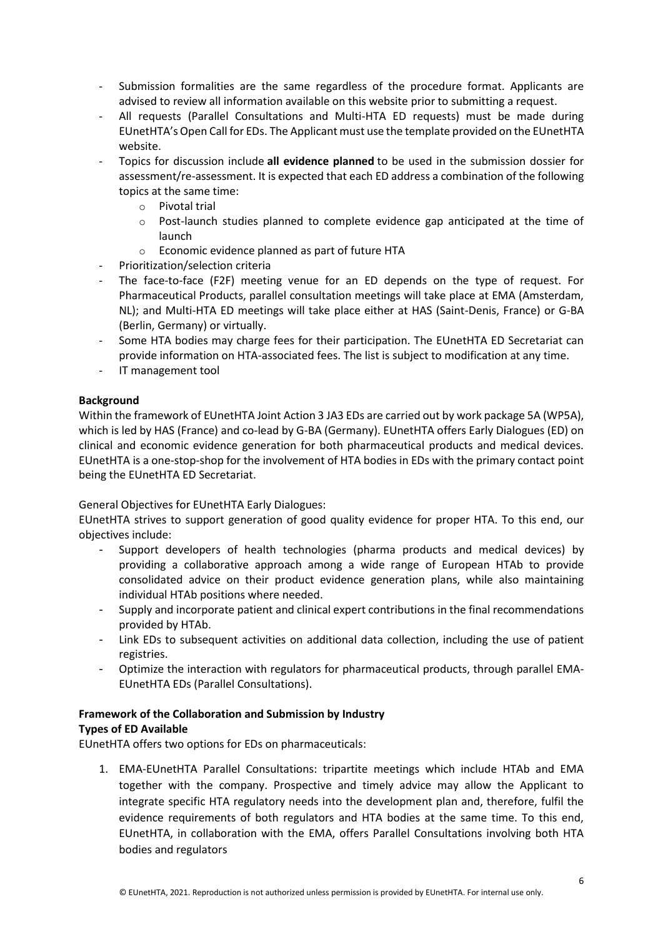- Submission formalities are the same regardless of the procedure format. Applicants are advised to review all information available on this website prior to submitting a request.
- All requests (Parallel Consultations and Multi-HTA ED requests) must be made during EUnetHTA's Open Call for EDs. The Applicant must use the template provided on the EUnetHTA website.
- Topics for discussion include **all evidence planned** to be used in the submission dossier for assessment/re-assessment. It is expected that each ED address a combination of the following topics at the same time:
	- o Pivotal trial
	- $\circ$  Post-launch studies planned to complete evidence gap anticipated at the time of launch
	- o Economic evidence planned as part of future HTA
- Prioritization/selection criteria
- The face-to-face (F2F) meeting venue for an ED depends on the type of request. For Pharmaceutical Products, parallel consultation meetings will take place at EMA (Amsterdam, NL); and Multi-HTA ED meetings will take place either at HAS (Saint-Denis, France) or G-BA (Berlin, Germany) or virtually.
- Some HTA bodies may charge fees for their participation. The EUnetHTA ED Secretariat can provide information on HTA-associated fees. The list is subject to modification at any time.
- IT management tool

#### **Background**

Within the framework of EUnetHTA Joint Action 3 JA3 EDs are carried out by work package 5A (WP5A), which is led by HAS (France) and co-lead by G-BA (Germany). EUnetHTA offers Early Dialogues (ED) on clinical and economic evidence generation for both pharmaceutical products and medical devices. EUnetHTA is a one-stop-shop for the involvement of HTA bodies in EDs with the primary contact point being the EUnetHTA ED Secretariat.

#### General Objectives for EUnetHTA Early Dialogues:

EUnetHTA strives to support generation of good quality evidence for proper HTA. To this end, our objectives include:

- Support developers of health technologies (pharma products and medical devices) by providing a collaborative approach among a wide range of European HTAb to provide consolidated advice on their product evidence generation plans, while also maintaining individual HTAb positions where needed.
- Supply and incorporate patient and clinical expert contributions in the final recommendations provided by HTAb.
- Link EDs to subsequent activities on additional data collection, including the use of patient registries.
- Optimize the interaction with regulators for pharmaceutical products, through parallel EMA-EUnetHTA EDs (Parallel Consultations).

#### **Framework of the Collaboration and Submission by Industry Types of ED Available**

EUnetHTA offers two options for EDs on pharmaceuticals:

1. EMA-EUnetHTA Parallel Consultations: tripartite meetings which include HTAb and EMA together with the company. Prospective and timely advice may allow the Applicant to integrate specific HTA regulatory needs into the development plan and, therefore, fulfil the evidence requirements of both regulators and HTA bodies at the same time. To this end, EUnetHTA, in collaboration with the EMA, offers Parallel Consultations involving both HTA bodies and regulators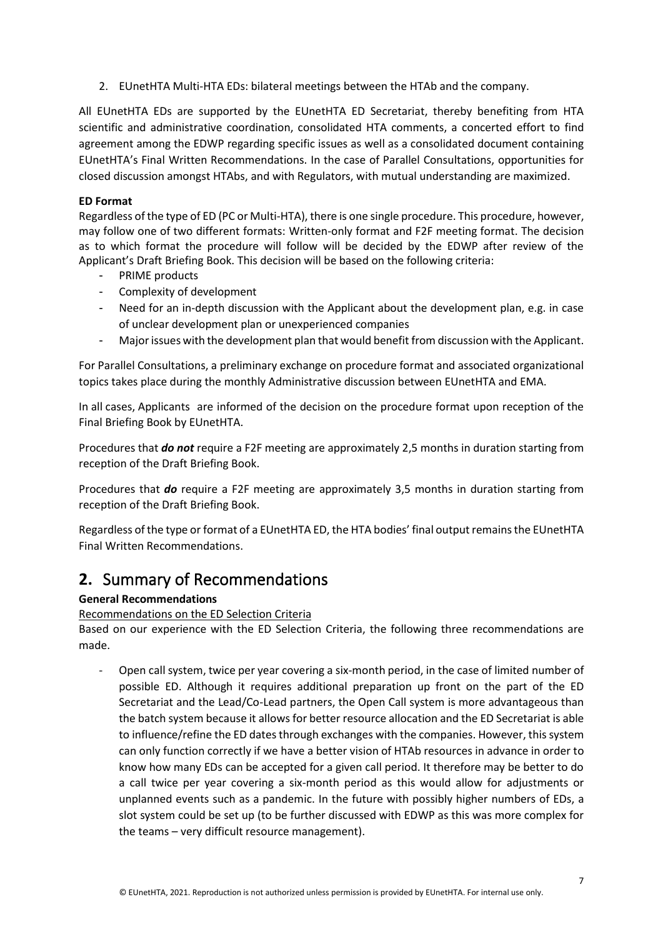2. EUnetHTA Multi-HTA EDs: bilateral meetings between the HTAb and the company.

All EUnetHTA EDs are supported by the EUnetHTA ED Secretariat, thereby benefiting from HTA scientific and administrative coordination, consolidated HTA comments, a concerted effort to find agreement among the EDWP regarding specific issues as well as a consolidated document containing EUnetHTA's Final Written Recommendations. In the case of Parallel Consultations, opportunities for closed discussion amongst HTAbs, and with Regulators, with mutual understanding are maximized.

#### **ED Format**

Regardless of the type of ED (PC or Multi-HTA), there is one single procedure. This procedure, however, may follow one of two different formats: Written-only format and F2F meeting format. The decision as to which format the procedure will follow will be decided by the EDWP after review of the Applicant's Draft Briefing Book. This decision will be based on the following criteria:

- PRIME products
- Complexity of development
- Need for an in-depth discussion with the Applicant about the development plan, e.g. in case of unclear development plan or unexperienced companies
- Major issues with the development plan that would benefit from discussion with the Applicant.

For Parallel Consultations, a preliminary exchange on procedure format and associated organizational topics takes place during the monthly Administrative discussion between EUnetHTA and EMA.

In all cases, Applicants are informed of the decision on the procedure format upon reception of the Final Briefing Book by EUnetHTA.

Procedures that *do not* require a F2F meeting are approximately 2,5 months in duration starting from reception of the Draft Briefing Book.

Procedures that *do* require a F2F meeting are approximately 3,5 months in duration starting from reception of the Draft Briefing Book.

Regardless of the type or format of a EUnetHTA ED, the HTA bodies' final output remains the EUnetHTA Final Written Recommendations.

# <span id="page-6-0"></span>**2.** Summary of Recommendations

#### **General Recommendations**

Recommendations on the ED Selection Criteria

Based on our experience with the ED Selection Criteria, the following three recommendations are made.

- Open call system, twice per year covering a six-month period, in the case of limited number of possible ED. Although it requires additional preparation up front on the part of the ED Secretariat and the Lead/Co-Lead partners, the Open Call system is more advantageous than the batch system because it allows for better resource allocation and the ED Secretariat is able to influence/refine the ED dates through exchanges with the companies. However, this system can only function correctly if we have a better vision of HTAb resources in advance in order to know how many EDs can be accepted for a given call period. It therefore may be better to do a call twice per year covering a six-month period as this would allow for adjustments or unplanned events such as a pandemic. In the future with possibly higher numbers of EDs, a slot system could be set up (to be further discussed with EDWP as this was more complex for the teams – very difficult resource management).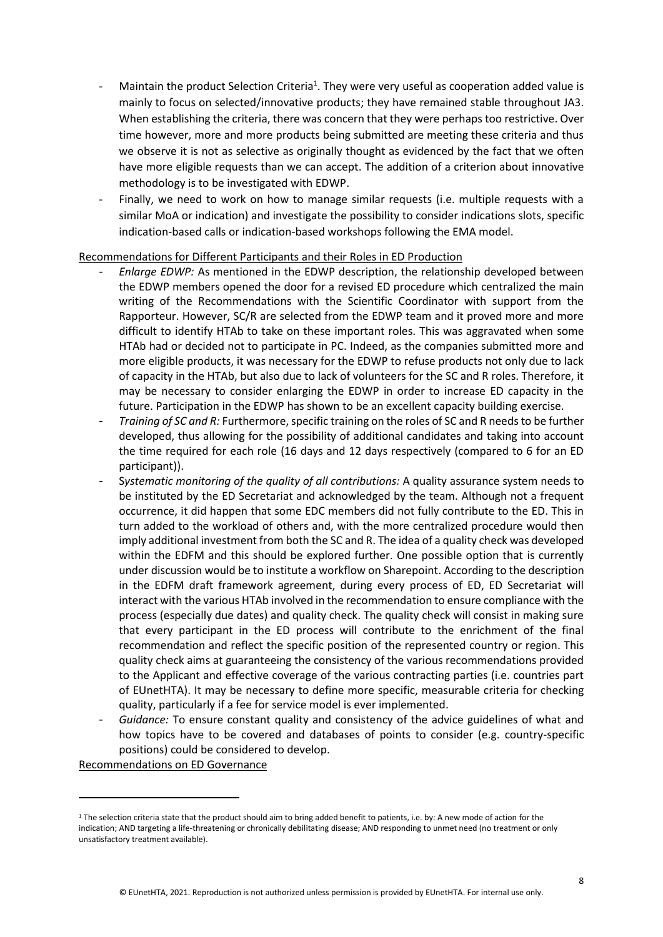- Maintain the product Selection Criteria<sup>1</sup>. They were very useful as cooperation added value is mainly to focus on selected/innovative products; they have remained stable throughout JA3. When establishing the criteria, there was concern that they were perhaps too restrictive. Over time however, more and more products being submitted are meeting these criteria and thus we observe it is not as selective as originally thought as evidenced by the fact that we often have more eligible requests than we can accept. The addition of a criterion about innovative methodology is to be investigated with EDWP.
- Finally, we need to work on how to manage similar requests (i.e. multiple requests with a similar MoA or indication) and investigate the possibility to consider indications slots, specific indication-based calls or indication-based workshops following the EMA model.

#### Recommendations for Different Participants and their Roles in ED Production

- *Enlarge EDWP:* As mentioned in the EDWP description, the relationship developed between the EDWP members opened the door for a revised ED procedure which centralized the main writing of the Recommendations with the Scientific Coordinator with support from the Rapporteur. However, SC/R are selected from the EDWP team and it proved more and more difficult to identify HTAb to take on these important roles. This was aggravated when some HTAb had or decided not to participate in PC. Indeed, as the companies submitted more and more eligible products, it was necessary for the EDWP to refuse products not only due to lack of capacity in the HTAb, but also due to lack of volunteers for the SC and R roles. Therefore, it may be necessary to consider enlarging the EDWP in order to increase ED capacity in the future. Participation in the EDWP has shown to be an excellent capacity building exercise.
- *Training of SC and R:* Furthermore, specific training on the roles of SC and R needs to be further developed, thus allowing for the possibility of additional candidates and taking into account the time required for each role (16 days and 12 days respectively (compared to 6 for an ED participant)).
- S*ystematic monitoring of the quality of all contributions:* A quality assurance system needs to be instituted by the ED Secretariat and acknowledged by the team. Although not a frequent occurrence, it did happen that some EDC members did not fully contribute to the ED. This in turn added to the workload of others and, with the more centralized procedure would then imply additional investment from both the SC and R. The idea of a quality check was developed within the EDFM and this should be explored further. One possible option that is currently under discussion would be to institute a workflow on Sharepoint. According to the description in the EDFM draft framework agreement, during every process of ED, ED Secretariat will interact with the various HTAb involved in the recommendation to ensure compliance with the process (especially due dates) and quality check. The quality check will consist in making sure that every participant in the ED process will contribute to the enrichment of the final recommendation and reflect the specific position of the represented country or region. This quality check aims at guaranteeing the consistency of the various recommendations provided to the Applicant and effective coverage of the various contracting parties (i.e. countries part of EUnetHTA). It may be necessary to define more specific, measurable criteria for checking quality, particularly if a fee for service model is ever implemented.
- *Guidance:* To ensure constant quality and consistency of the advice guidelines of what and how topics have to be covered and databases of points to consider (e.g. country-specific positions) could be considered to develop.

Recommendations on ED Governance

 $1$  The selection criteria state that the product should aim to bring added benefit to patients, i.e. by: A new mode of action for the indication; AND targeting a life-threatening or chronically debilitating disease; AND responding to unmet need (no treatment or only unsatisfactory treatment available).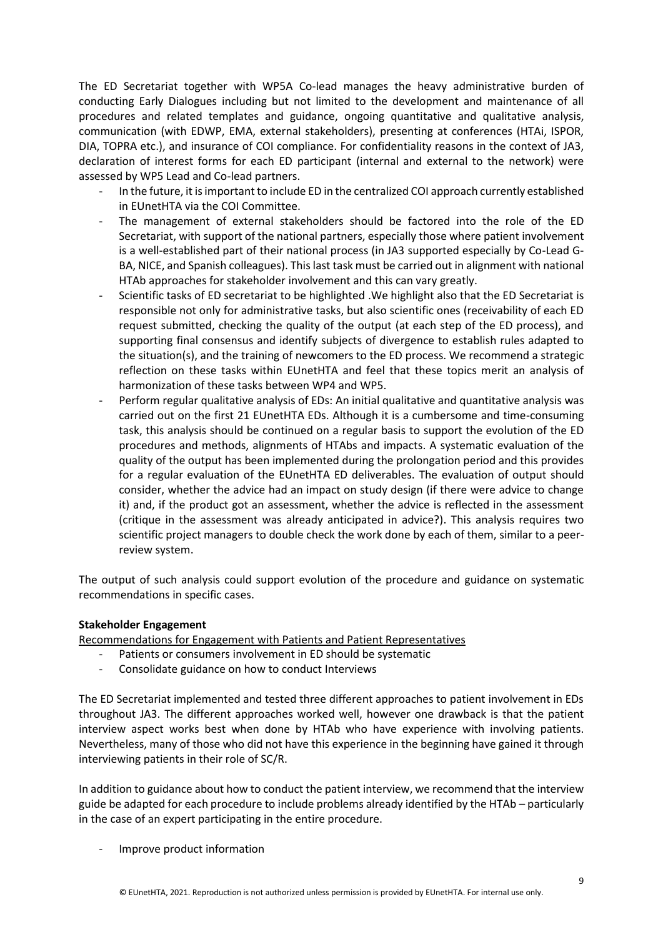The ED Secretariat together with WP5A Co-lead manages the heavy administrative burden of conducting Early Dialogues including but not limited to the development and maintenance of all procedures and related templates and guidance, ongoing quantitative and qualitative analysis, communication (with EDWP, EMA, external stakeholders), presenting at conferences (HTAi, ISPOR, DIA, TOPRA etc.), and insurance of COI compliance. For confidentiality reasons in the context of JA3, declaration of interest forms for each ED participant (internal and external to the network) were assessed by WP5 Lead and Co-lead partners.

- In the future, it is important to include ED in the centralized COI approach currently established in EUnetHTA via the COI Committee.
- The management of external stakeholders should be factored into the role of the ED Secretariat, with support of the national partners, especially those where patient involvement is a well-established part of their national process (in JA3 supported especially by Co-Lead G-BA, NICE, and Spanish colleagues). This last task must be carried out in alignment with national HTAb approaches for stakeholder involvement and this can vary greatly.
- Scientific tasks of ED secretariat to be highlighted .We highlight also that the ED Secretariat is responsible not only for administrative tasks, but also scientific ones (receivability of each ED request submitted, checking the quality of the output (at each step of the ED process), and supporting final consensus and identify subjects of divergence to establish rules adapted to the situation(s), and the training of newcomers to the ED process. We recommend a strategic reflection on these tasks within EUnetHTA and feel that these topics merit an analysis of harmonization of these tasks between WP4 and WP5.
- Perform regular qualitative analysis of EDs: An initial qualitative and quantitative analysis was carried out on the first 21 EUnetHTA EDs. Although it is a cumbersome and time-consuming task, this analysis should be continued on a regular basis to support the evolution of the ED procedures and methods, alignments of HTAbs and impacts. A systematic evaluation of the quality of the output has been implemented during the prolongation period and this provides for a regular evaluation of the EUnetHTA ED deliverables. The evaluation of output should consider, whether the advice had an impact on study design (if there were advice to change it) and, if the product got an assessment, whether the advice is reflected in the assessment (critique in the assessment was already anticipated in advice?). This analysis requires two scientific project managers to double check the work done by each of them, similar to a peerreview system.

The output of such analysis could support evolution of the procedure and guidance on systematic recommendations in specific cases.

#### **Stakeholder Engagement**

Recommendations for Engagement with Patients and Patient Representatives

- Patients or consumers involvement in ED should be systematic
- Consolidate guidance on how to conduct Interviews

The ED Secretariat implemented and tested three different approaches to patient involvement in EDs throughout JA3. The different approaches worked well, however one drawback is that the patient interview aspect works best when done by HTAb who have experience with involving patients. Nevertheless, many of those who did not have this experience in the beginning have gained it through interviewing patients in their role of SC/R.

In addition to guidance about how to conduct the patient interview, we recommend that the interview guide be adapted for each procedure to include problems already identified by the HTAb – particularly in the case of an expert participating in the entire procedure.

- Improve product information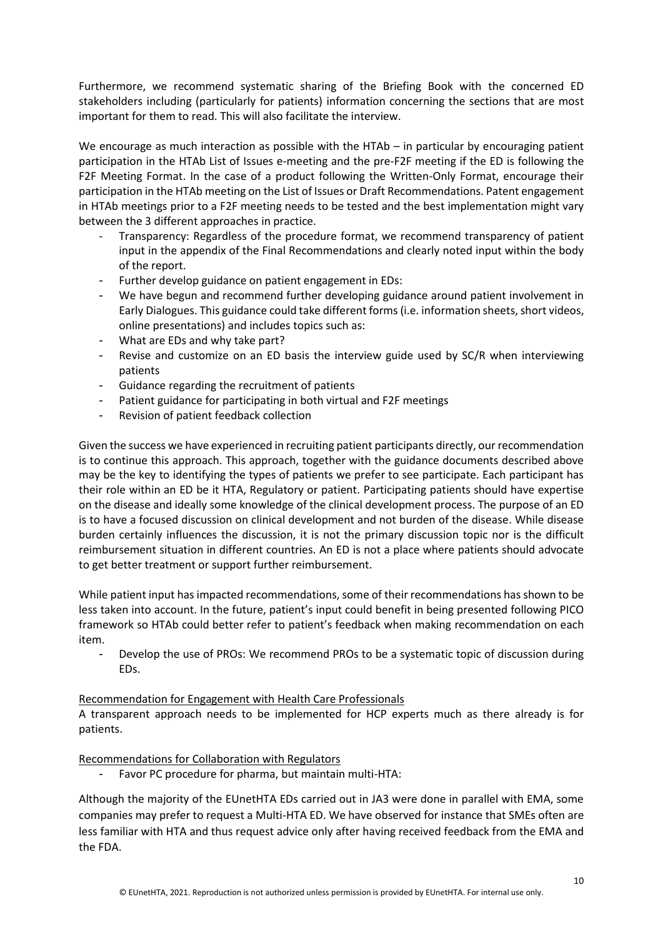Furthermore, we recommend systematic sharing of the Briefing Book with the concerned ED stakeholders including (particularly for patients) information concerning the sections that are most important for them to read. This will also facilitate the interview.

We encourage as much interaction as possible with the HTAb – in particular by encouraging patient participation in the HTAb List of Issues e-meeting and the pre-F2F meeting if the ED is following the F2F Meeting Format. In the case of a product following the Written-Only Format, encourage their participation in the HTAb meeting on the List of Issues or Draft Recommendations. Patent engagement in HTAb meetings prior to a F2F meeting needs to be tested and the best implementation might vary between the 3 different approaches in practice.

- Transparency: Regardless of the procedure format, we recommend transparency of patient input in the appendix of the Final Recommendations and clearly noted input within the body of the report.
- Further develop guidance on patient engagement in EDs:
- We have begun and recommend further developing guidance around patient involvement in Early Dialogues. This guidance could take different forms (i.e. information sheets, short videos, online presentations) and includes topics such as:
- What are EDs and why take part?
- Revise and customize on an ED basis the interview guide used by SC/R when interviewing patients
- Guidance regarding the recruitment of patients
- Patient guidance for participating in both virtual and F2F meetings
- Revision of patient feedback collection

Given the success we have experienced in recruiting patient participants directly, our recommendation is to continue this approach. This approach, together with the guidance documents described above may be the key to identifying the types of patients we prefer to see participate. Each participant has their role within an ED be it HTA, Regulatory or patient. Participating patients should have expertise on the disease and ideally some knowledge of the clinical development process. The purpose of an ED is to have a focused discussion on clinical development and not burden of the disease. While disease burden certainly influences the discussion, it is not the primary discussion topic nor is the difficult reimbursement situation in different countries. An ED is not a place where patients should advocate to get better treatment or support further reimbursement.

While patient input has impacted recommendations, some of their recommendations has shown to be less taken into account. In the future, patient's input could benefit in being presented following PICO framework so HTAb could better refer to patient's feedback when making recommendation on each item.

- Develop the use of PROs: We recommend PROs to be a systematic topic of discussion during EDs.

#### Recommendation for Engagement with Health Care Professionals

A transparent approach needs to be implemented for HCP experts much as there already is for patients.

Recommendations for Collaboration with Regulators

Favor PC procedure for pharma, but maintain multi-HTA:

Although the majority of the EUnetHTA EDs carried out in JA3 were done in parallel with EMA, some companies may prefer to request a Multi-HTA ED. We have observed for instance that SMEs often are less familiar with HTA and thus request advice only after having received feedback from the EMA and the FDA.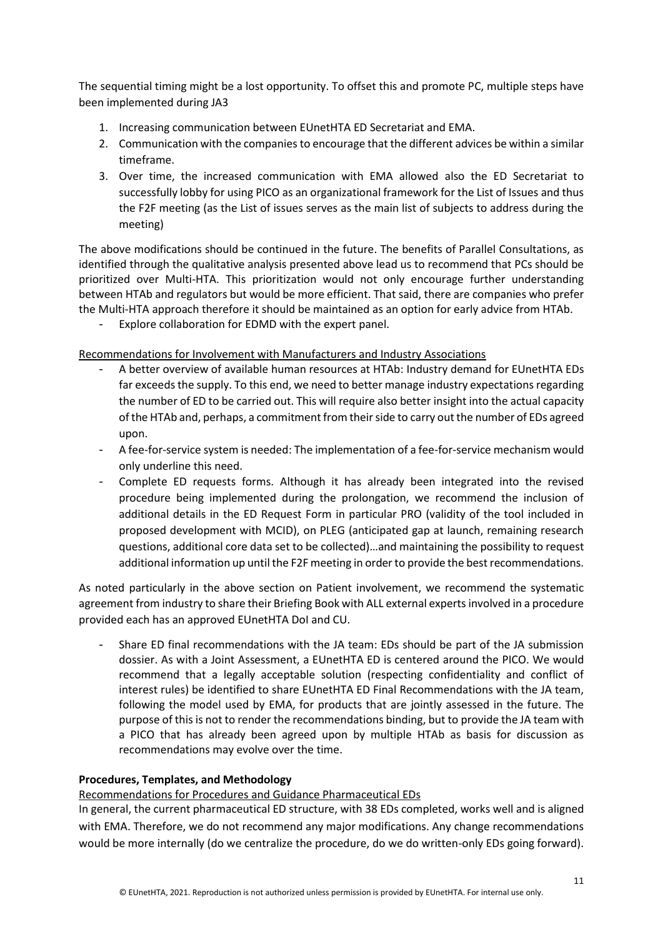The sequential timing might be a lost opportunity. To offset this and promote PC, multiple steps have been implemented during JA3

- 1. Increasing communication between EUnetHTA ED Secretariat and EMA.
- 2. Communication with the companies to encourage that the different advices be within a similar timeframe.
- 3. Over time, the increased communication with EMA allowed also the ED Secretariat to successfully lobby for using PICO as an organizational framework for the List of Issues and thus the F2F meeting (as the List of issues serves as the main list of subjects to address during the meeting)

The above modifications should be continued in the future. The benefits of Parallel Consultations, as identified through the qualitative analysis presented above lead us to recommend that PCs should be prioritized over Multi-HTA. This prioritization would not only encourage further understanding between HTAb and regulators but would be more efficient. That said, there are companies who prefer the Multi-HTA approach therefore it should be maintained as an option for early advice from HTAb.

Explore collaboration for EDMD with the expert panel.

#### Recommendations for Involvement with Manufacturers and Industry Associations

- A better overview of available human resources at HTAb: Industry demand for EUnetHTA EDs far exceeds the supply. To this end, we need to better manage industry expectations regarding the number of ED to be carried out. This will require also better insight into the actual capacity of the HTAb and, perhaps, a commitment from their side to carry out the number of EDs agreed upon.
- A fee-for-service system is needed: The implementation of a fee-for-service mechanism would only underline this need.
- Complete ED requests forms. Although it has already been integrated into the revised procedure being implemented during the prolongation, we recommend the inclusion of additional details in the ED Request Form in particular PRO (validity of the tool included in proposed development with MCID), on PLEG (anticipated gap at launch, remaining research questions, additional core data set to be collected)…and maintaining the possibility to request additional information up until the F2F meeting in order to provide the best recommendations.

As noted particularly in the above section on Patient involvement, we recommend the systematic agreement from industry to share their Briefing Book with ALL external experts involved in a procedure provided each has an approved EUnetHTA DoI and CU.

- Share ED final recommendations with the JA team: EDs should be part of the JA submission dossier. As with a Joint Assessment, a EUnetHTA ED is centered around the PICO. We would recommend that a legally acceptable solution (respecting confidentiality and conflict of interest rules) be identified to share EUnetHTA ED Final Recommendations with the JA team, following the model used by EMA, for products that are jointly assessed in the future. The purpose of this is not to render the recommendations binding, but to provide the JA team with a PICO that has already been agreed upon by multiple HTAb as basis for discussion as recommendations may evolve over the time.

#### **Procedures, Templates, and Methodology**

#### Recommendations for Procedures and Guidance Pharmaceutical EDs

In general, the current pharmaceutical ED structure, with 38 EDs completed, works well and is aligned with EMA. Therefore, we do not recommend any major modifications. Any change recommendations would be more internally (do we centralize the procedure, do we do written-only EDs going forward).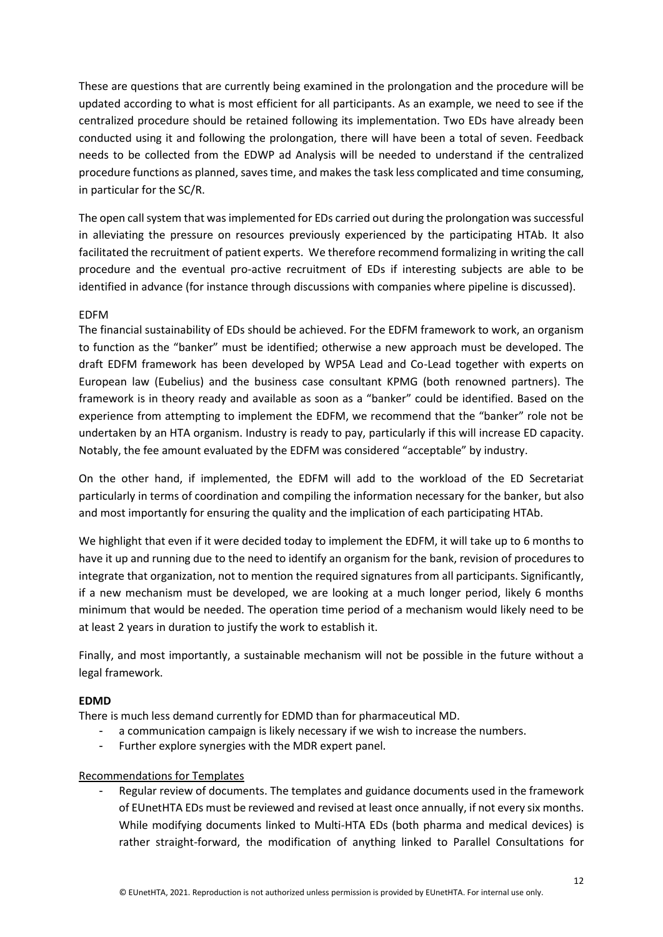These are questions that are currently being examined in the prolongation and the procedure will be updated according to what is most efficient for all participants. As an example, we need to see if the centralized procedure should be retained following its implementation. Two EDs have already been conducted using it and following the prolongation, there will have been a total of seven. Feedback needs to be collected from the EDWP ad Analysis will be needed to understand if the centralized procedure functions as planned, saves time, and makes the task less complicated and time consuming, in particular for the SC/R.

The open call system that was implemented for EDs carried out during the prolongation was successful in alleviating the pressure on resources previously experienced by the participating HTAb. It also facilitated the recruitment of patient experts. We therefore recommend formalizing in writing the call procedure and the eventual pro-active recruitment of EDs if interesting subjects are able to be identified in advance (for instance through discussions with companies where pipeline is discussed).

#### EDFM

The financial sustainability of EDs should be achieved. For the EDFM framework to work, an organism to function as the "banker" must be identified; otherwise a new approach must be developed. The draft EDFM framework has been developed by WP5A Lead and Co-Lead together with experts on European law (Eubelius) and the business case consultant KPMG (both renowned partners). The framework is in theory ready and available as soon as a "banker" could be identified. Based on the experience from attempting to implement the EDFM, we recommend that the "banker" role not be undertaken by an HTA organism. Industry is ready to pay, particularly if this will increase ED capacity. Notably, the fee amount evaluated by the EDFM was considered "acceptable" by industry.

On the other hand, if implemented, the EDFM will add to the workload of the ED Secretariat particularly in terms of coordination and compiling the information necessary for the banker, but also and most importantly for ensuring the quality and the implication of each participating HTAb.

We highlight that even if it were decided today to implement the EDFM, it will take up to 6 months to have it up and running due to the need to identify an organism for the bank, revision of procedures to integrate that organization, not to mention the required signatures from all participants. Significantly, if a new mechanism must be developed, we are looking at a much longer period, likely 6 months minimum that would be needed. The operation time period of a mechanism would likely need to be at least 2 years in duration to justify the work to establish it.

Finally, and most importantly, a sustainable mechanism will not be possible in the future without a legal framework.

#### **EDMD**

There is much less demand currently for EDMD than for pharmaceutical MD.

- a communication campaign is likely necessary if we wish to increase the numbers.
- Further explore synergies with the MDR expert panel.

#### Recommendations for Templates

Regular review of documents. The templates and guidance documents used in the framework of EUnetHTA EDs must be reviewed and revised at least once annually, if not every six months. While modifying documents linked to Multi-HTA EDs (both pharma and medical devices) is rather straight-forward, the modification of anything linked to Parallel Consultations for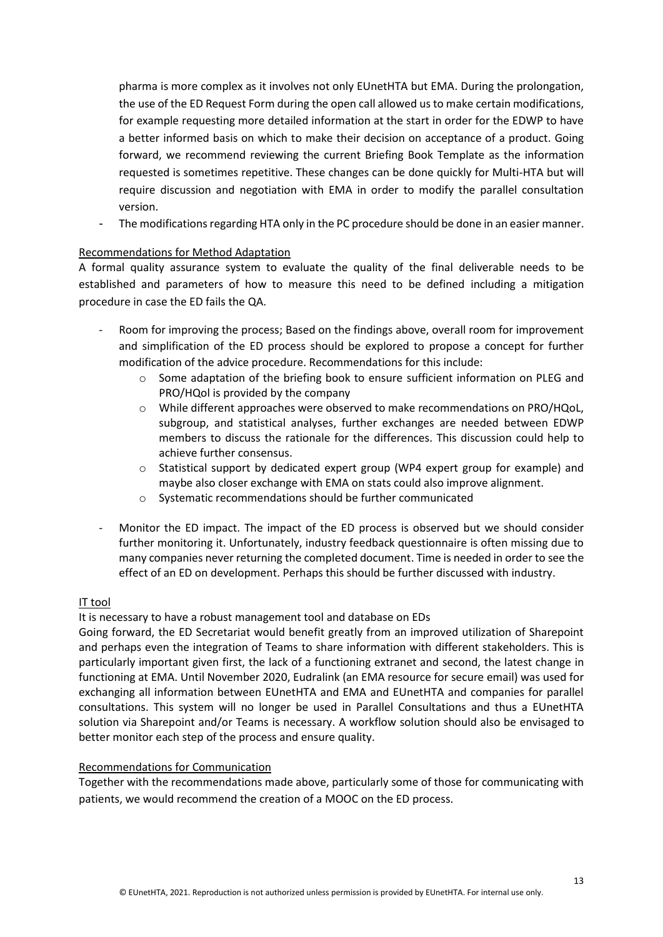pharma is more complex as it involves not only EUnetHTA but EMA. During the prolongation, the use of the ED Request Form during the open call allowed us to make certain modifications, for example requesting more detailed information at the start in order for the EDWP to have a better informed basis on which to make their decision on acceptance of a product. Going forward, we recommend reviewing the current Briefing Book Template as the information requested is sometimes repetitive. These changes can be done quickly for Multi-HTA but will require discussion and negotiation with EMA in order to modify the parallel consultation version.

The modifications regarding HTA only in the PC procedure should be done in an easier manner.

#### Recommendations for Method Adaptation

A formal quality assurance system to evaluate the quality of the final deliverable needs to be established and parameters of how to measure this need to be defined including a mitigation procedure in case the ED fails the QA.

- Room for improving the process; Based on the findings above, overall room for improvement and simplification of the ED process should be explored to propose a concept for further modification of the advice procedure. Recommendations for this include:
	- $\circ$  Some adaptation of the briefing book to ensure sufficient information on PLEG and PRO/HQol is provided by the company
	- o While different approaches were observed to make recommendations on PRO/HQoL, subgroup, and statistical analyses, further exchanges are needed between EDWP members to discuss the rationale for the differences. This discussion could help to achieve further consensus.
	- o Statistical support by dedicated expert group (WP4 expert group for example) and maybe also closer exchange with EMA on stats could also improve alignment.
	- o Systematic recommendations should be further communicated
- Monitor the ED impact. The impact of the ED process is observed but we should consider further monitoring it. Unfortunately, industry feedback questionnaire is often missing due to many companies never returning the completed document. Time is needed in order to see the effect of an ED on development. Perhaps this should be further discussed with industry.

#### IT tool

It is necessary to have a robust management tool and database on EDs

Going forward, the ED Secretariat would benefit greatly from an improved utilization of Sharepoint and perhaps even the integration of Teams to share information with different stakeholders. This is particularly important given first, the lack of a functioning extranet and second, the latest change in functioning at EMA. Until November 2020, Eudralink (an EMA resource for secure email) was used for exchanging all information between EUnetHTA and EMA and EUnetHTA and companies for parallel consultations. This system will no longer be used in Parallel Consultations and thus a EUnetHTA solution via Sharepoint and/or Teams is necessary. A workflow solution should also be envisaged to better monitor each step of the process and ensure quality.

#### Recommendations for Communication

Together with the recommendations made above, particularly some of those for communicating with patients, we would recommend the creation of a MOOC on the ED process.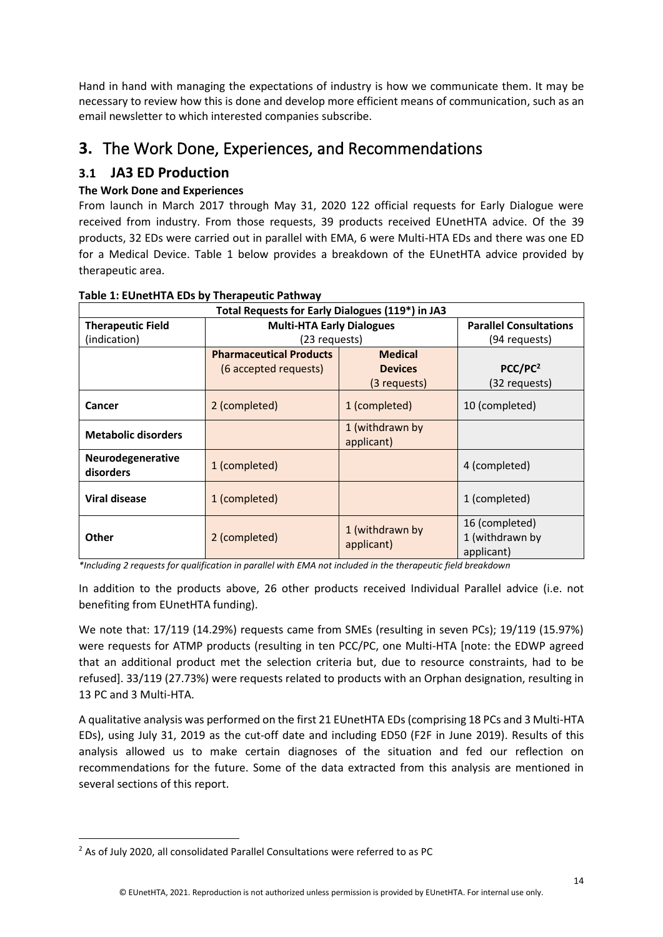Hand in hand with managing the expectations of industry is how we communicate them. It may be necessary to review how this is done and develop more efficient means of communication, such as an email newsletter to which interested companies subscribe.

# <span id="page-13-0"></span>**3.** The Work Done, Experiences, and Recommendations

# <span id="page-13-1"></span>**3.1 JA3 ED Production**

# **The Work Done and Experiences**

From launch in March 2017 through May 31, 2020 122 official requests for Early Dialogue were received from industry. From those requests, 39 products received EUnetHTA advice. Of the 39 products, 32 EDs were carried out in parallel with EMA, 6 were Multi-HTA EDs and there was one ED for a Medical Device. Table 1 below provides a breakdown of the EUnetHTA advice provided by therapeutic area.

| Total Requests for Early Dialogues (119*) in JA3 |                                  |                               |                                                 |
|--------------------------------------------------|----------------------------------|-------------------------------|-------------------------------------------------|
| <b>Therapeutic Field</b>                         | <b>Multi-HTA Early Dialogues</b> |                               | <b>Parallel Consultations</b>                   |
| (indication)                                     | (23 requests)                    |                               | (94 requests)                                   |
|                                                  | <b>Pharmaceutical Products</b>   | <b>Medical</b>                |                                                 |
|                                                  | (6 accepted requests)            | <b>Devices</b>                | PCC/PC <sup>2</sup>                             |
|                                                  |                                  | (3 requests)                  | (32 requests)                                   |
| Cancer                                           | 2 (completed)                    | 1 (completed)                 | 10 (completed)                                  |
| <b>Metabolic disorders</b>                       |                                  | 1 (withdrawn by<br>applicant) |                                                 |
| Neurodegenerative<br>disorders                   | 1 (completed)                    |                               | 4 (completed)                                   |
| <b>Viral disease</b>                             | 1 (completed)                    |                               | 1 (completed)                                   |
| <b>Other</b>                                     | 2 (completed)                    | 1 (withdrawn by<br>applicant) | 16 (completed)<br>1 (withdrawn by<br>applicant) |

#### **Table 1: EUnetHTA EDs by Therapeutic Pathway**

*\*Including 2 requests for qualification in parallel with EMA not included in the therapeutic field breakdown*

In addition to the products above, 26 other products received Individual Parallel advice (i.e. not benefiting from EUnetHTA funding).

We note that: 17/119 (14.29%) requests came from SMEs (resulting in seven PCs); 19/119 (15.97%) were requests for ATMP products (resulting in ten PCC/PC, one Multi-HTA [note: the EDWP agreed that an additional product met the selection criteria but, due to resource constraints, had to be refused]. 33/119 (27.73%) were requests related to products with an Orphan designation, resulting in 13 PC and 3 Multi-HTA.

A qualitative analysis was performed on the first 21 EUnetHTA EDs (comprising 18 PCs and 3 Multi-HTA EDs), using July 31, 2019 as the cut-off date and including ED50 (F2F in June 2019). Results of this analysis allowed us to make certain diagnoses of the situation and fed our reflection on recommendations for the future. Some of the data extracted from this analysis are mentioned in several sections of this report.

<sup>&</sup>lt;sup>2</sup> As of July 2020, all consolidated Parallel Consultations were referred to as PC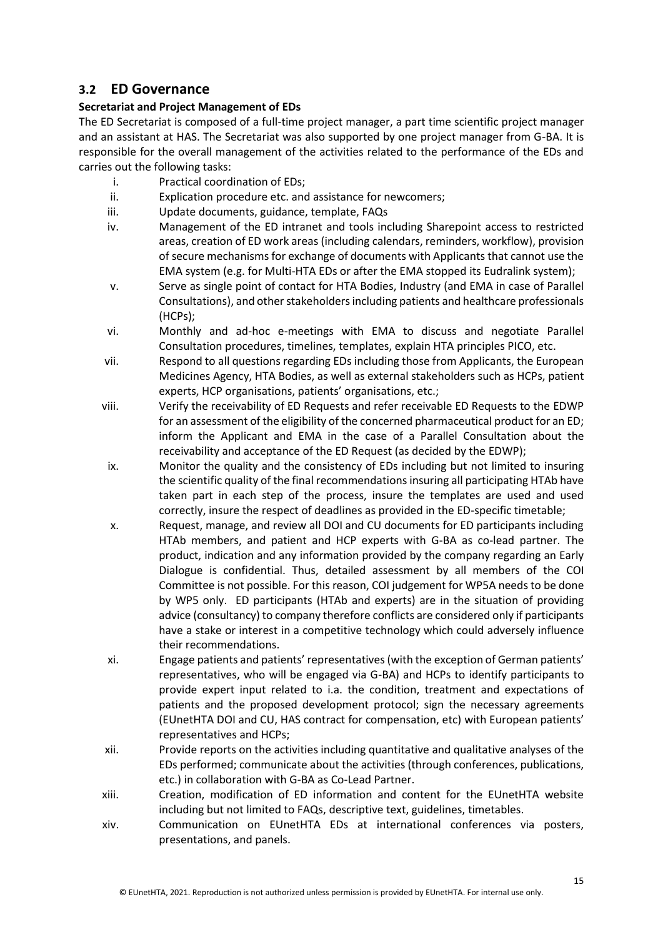# <span id="page-14-0"></span>**3.2 ED Governance**

#### **Secretariat and Project Management of EDs**

The ED Secretariat is composed of a full-time project manager, a part time scientific project manager and an assistant at HAS. The Secretariat was also supported by one project manager from G-BA. It is responsible for the overall management of the activities related to the performance of the EDs and carries out the following tasks:

- i. Practical coordination of EDs;
- ii. Explication procedure etc. and assistance for newcomers;
- iii. Update documents, guidance, template, FAQs
- iv. Management of the ED intranet and tools including Sharepoint access to restricted areas, creation of ED work areas (including calendars, reminders, workflow), provision of secure mechanisms for exchange of documents with Applicants that cannot use the EMA system (e.g. for Multi-HTA EDs or after the EMA stopped its Eudralink system);
- v. Serve as single point of contact for HTA Bodies, Industry (and EMA in case of Parallel Consultations), and other stakeholders including patients and healthcare professionals (HCPs);
- vi. Monthly and ad-hoc e-meetings with EMA to discuss and negotiate Parallel Consultation procedures, timelines, templates, explain HTA principles PICO, etc.
- vii. Respond to all questions regarding EDs including those from Applicants, the European Medicines Agency, HTA Bodies, as well as external stakeholders such as HCPs, patient experts, HCP organisations, patients' organisations, etc.;
- viii. Verify the receivability of ED Requests and refer receivable ED Requests to the EDWP for an assessment of the eligibility of the concerned pharmaceutical product for an ED; inform the Applicant and EMA in the case of a Parallel Consultation about the receivability and acceptance of the ED Request (as decided by the EDWP);
- ix. Monitor the quality and the consistency of EDs including but not limited to insuring the scientific quality of the final recommendations insuring all participating HTAb have taken part in each step of the process, insure the templates are used and used correctly, insure the respect of deadlines as provided in the ED-specific timetable;
- x. Request, manage, and review all DOI and CU documents for ED participants including HTAb members, and patient and HCP experts with G-BA as co-lead partner. The product, indication and any information provided by the company regarding an Early Dialogue is confidential. Thus, detailed assessment by all members of the COI Committee is not possible. For this reason, COI judgement for WP5A needs to be done by WP5 only. ED participants (HTAb and experts) are in the situation of providing advice (consultancy) to company therefore conflicts are considered only if participants have a stake or interest in a competitive technology which could adversely influence their recommendations.
- xi. Engage patients and patients' representatives (with the exception of German patients' representatives, who will be engaged via G-BA) and HCPs to identify participants to provide expert input related to i.a. the condition, treatment and expectations of patients and the proposed development protocol; sign the necessary agreements (EUnetHTA DOI and CU, HAS contract for compensation, etc) with European patients' representatives and HCPs;
- xii. Provide reports on the activities including quantitative and qualitative analyses of the EDs performed; communicate about the activities (through conferences, publications, etc.) in collaboration with G-BA as Co-Lead Partner.
- xiii. Creation, modification of ED information and content for the EUnetHTA website including but not limited to FAQs, descriptive text, guidelines, timetables.
- xiv. Communication on EUnetHTA EDs at international conferences via posters, presentations, and panels.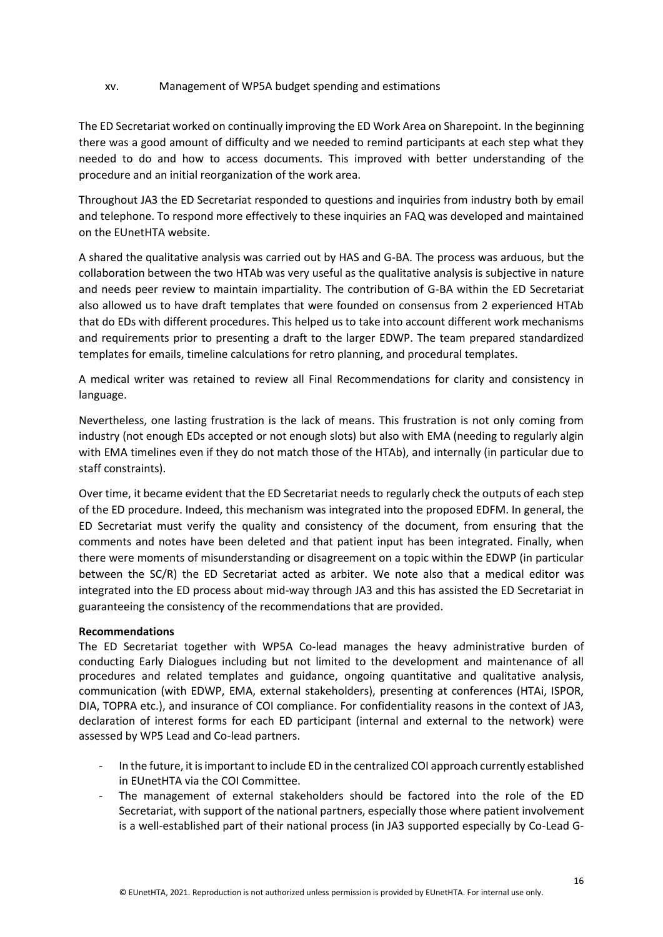#### xv. Management of WP5A budget spending and estimations

The ED Secretariat worked on continually improving the ED Work Area on Sharepoint. In the beginning there was a good amount of difficulty and we needed to remind participants at each step what they needed to do and how to access documents. This improved with better understanding of the procedure and an initial reorganization of the work area.

Throughout JA3 the ED Secretariat responded to questions and inquiries from industry both by email and telephone. To respond more effectively to these inquiries an FAQ was developed and maintained on the EUnetHTA website.

A shared the qualitative analysis was carried out by HAS and G-BA. The process was arduous, but the collaboration between the two HTAb was very useful as the qualitative analysis is subjective in nature and needs peer review to maintain impartiality. The contribution of G-BA within the ED Secretariat also allowed us to have draft templates that were founded on consensus from 2 experienced HTAb that do EDs with different procedures. This helped us to take into account different work mechanisms and requirements prior to presenting a draft to the larger EDWP. The team prepared standardized templates for emails, timeline calculations for retro planning, and procedural templates.

A medical writer was retained to review all Final Recommendations for clarity and consistency in language.

Nevertheless, one lasting frustration is the lack of means. This frustration is not only coming from industry (not enough EDs accepted or not enough slots) but also with EMA (needing to regularly algin with EMA timelines even if they do not match those of the HTAb), and internally (in particular due to staff constraints).

Over time, it became evident that the ED Secretariat needs to regularly check the outputs of each step of the ED procedure. Indeed, this mechanism was integrated into the proposed EDFM. In general, the ED Secretariat must verify the quality and consistency of the document, from ensuring that the comments and notes have been deleted and that patient input has been integrated. Finally, when there were moments of misunderstanding or disagreement on a topic within the EDWP (in particular between the SC/R) the ED Secretariat acted as arbiter. We note also that a medical editor was integrated into the ED process about mid-way through JA3 and this has assisted the ED Secretariat in guaranteeing the consistency of the recommendations that are provided.

#### **Recommendations**

The ED Secretariat together with WP5A Co-lead manages the heavy administrative burden of conducting Early Dialogues including but not limited to the development and maintenance of all procedures and related templates and guidance, ongoing quantitative and qualitative analysis, communication (with EDWP, EMA, external stakeholders), presenting at conferences (HTAi, ISPOR, DIA, TOPRA etc.), and insurance of COI compliance. For confidentiality reasons in the context of JA3, declaration of interest forms for each ED participant (internal and external to the network) were assessed by WP5 Lead and Co-lead partners.

- In the future, it is important to include ED in the centralized COI approach currently established in EUnetHTA via the COI Committee.
- The management of external stakeholders should be factored into the role of the ED Secretariat, with support of the national partners, especially those where patient involvement is a well-established part of their national process (in JA3 supported especially by Co-Lead G-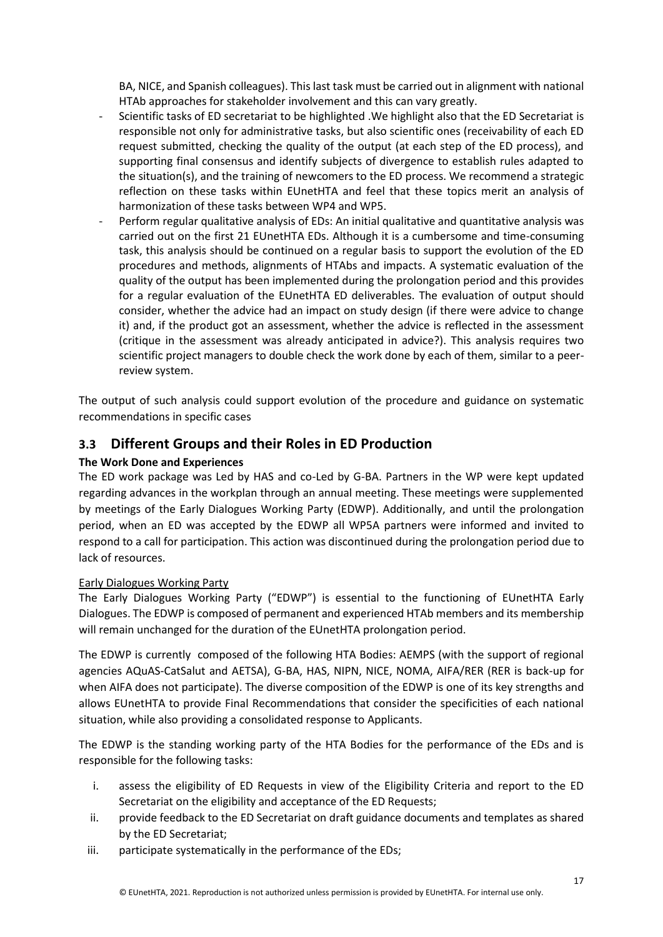BA, NICE, and Spanish colleagues). This last task must be carried out in alignment with national HTAb approaches for stakeholder involvement and this can vary greatly.

- Scientific tasks of ED secretariat to be highlighted .We highlight also that the ED Secretariat is responsible not only for administrative tasks, but also scientific ones (receivability of each ED request submitted, checking the quality of the output (at each step of the ED process), and supporting final consensus and identify subjects of divergence to establish rules adapted to the situation(s), and the training of newcomers to the ED process. We recommend a strategic reflection on these tasks within EUnetHTA and feel that these topics merit an analysis of harmonization of these tasks between WP4 and WP5.
- Perform regular qualitative analysis of EDs: An initial qualitative and quantitative analysis was carried out on the first 21 EUnetHTA EDs. Although it is a cumbersome and time-consuming task, this analysis should be continued on a regular basis to support the evolution of the ED procedures and methods, alignments of HTAbs and impacts. A systematic evaluation of the quality of the output has been implemented during the prolongation period and this provides for a regular evaluation of the EUnetHTA ED deliverables. The evaluation of output should consider, whether the advice had an impact on study design (if there were advice to change it) and, if the product got an assessment, whether the advice is reflected in the assessment (critique in the assessment was already anticipated in advice?). This analysis requires two scientific project managers to double check the work done by each of them, similar to a peerreview system.

The output of such analysis could support evolution of the procedure and guidance on systematic recommendations in specific cases

# <span id="page-16-0"></span>**3.3 Different Groups and their Roles in ED Production**

#### **The Work Done and Experiences**

The ED work package was Led by HAS and co-Led by G-BA. Partners in the WP were kept updated regarding advances in the workplan through an annual meeting. These meetings were supplemented by meetings of the Early Dialogues Working Party (EDWP). Additionally, and until the prolongation period, when an ED was accepted by the EDWP all WP5A partners were informed and invited to respond to a call for participation. This action was discontinued during the prolongation period due to lack of resources.

#### Early Dialogues Working Party

The Early Dialogues Working Party ("EDWP") is essential to the functioning of EUnetHTA Early Dialogues. The EDWP is composed of permanent and experienced HTAb members and its membership will remain unchanged for the duration of the EUnetHTA prolongation period.

The EDWP is currently composed of the following HTA Bodies: AEMPS (with the support of regional agencies AQuAS-CatSalut and AETSA), G-BA, HAS, NIPN, NICE, NOMA, AIFA/RER (RER is back-up for when AIFA does not participate). The diverse composition of the EDWP is one of its key strengths and allows EUnetHTA to provide Final Recommendations that consider the specificities of each national situation, while also providing a consolidated response to Applicants.

The EDWP is the standing working party of the HTA Bodies for the performance of the EDs and is responsible for the following tasks:

- i. assess the eligibility of ED Requests in view of the Eligibility Criteria and report to the ED Secretariat on the eligibility and acceptance of the ED Requests;
- ii. provide feedback to the ED Secretariat on draft guidance documents and templates as shared by the ED Secretariat;
- iii. participate systematically in the performance of the EDs;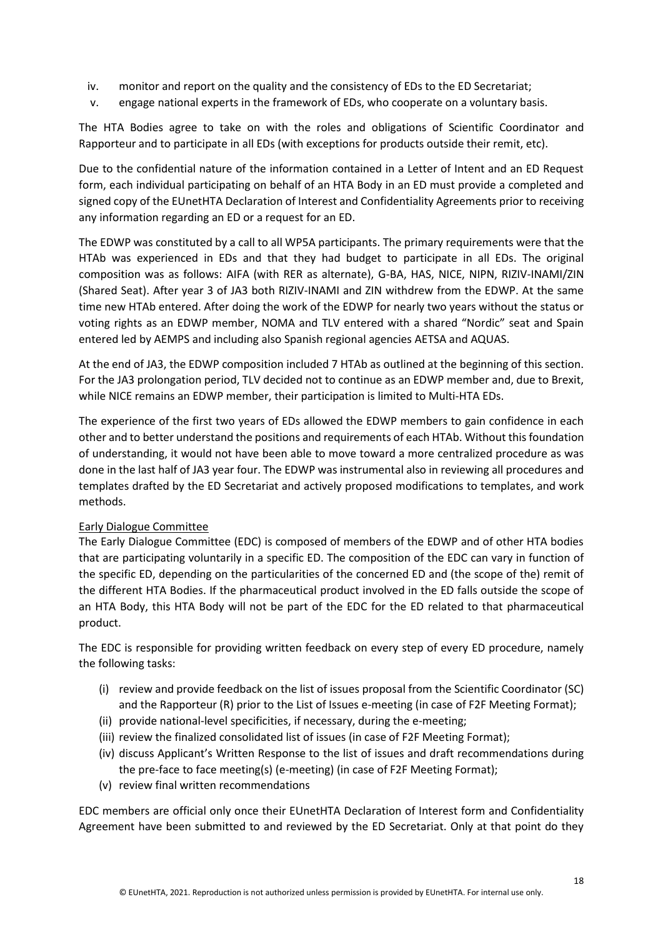- iv. monitor and report on the quality and the consistency of EDs to the ED Secretariat;
- v. engage national experts in the framework of EDs, who cooperate on a voluntary basis.

The HTA Bodies agree to take on with the roles and obligations of Scientific Coordinator and Rapporteur and to participate in all EDs (with exceptions for products outside their remit, etc).

Due to the confidential nature of the information contained in a Letter of Intent and an ED Request form, each individual participating on behalf of an HTA Body in an ED must provide a completed and signed copy of the EUnetHTA Declaration of Interest and Confidentiality Agreements prior to receiving any information regarding an ED or a request for an ED.

The EDWP was constituted by a call to all WP5A participants. The primary requirements were that the HTAb was experienced in EDs and that they had budget to participate in all EDs. The original composition was as follows: AIFA (with RER as alternate), G-BA, HAS, NICE, NIPN, RIZIV-INAMI/ZIN (Shared Seat). After year 3 of JA3 both RIZIV-INAMI and ZIN withdrew from the EDWP. At the same time new HTAb entered. After doing the work of the EDWP for nearly two years without the status or voting rights as an EDWP member, NOMA and TLV entered with a shared "Nordic" seat and Spain entered led by AEMPS and including also Spanish regional agencies AETSA and AQUAS.

At the end of JA3, the EDWP composition included 7 HTAb as outlined at the beginning of this section. For the JA3 prolongation period, TLV decided not to continue as an EDWP member and, due to Brexit, while NICE remains an EDWP member, their participation is limited to Multi-HTA EDs.

The experience of the first two years of EDs allowed the EDWP members to gain confidence in each other and to better understand the positions and requirements of each HTAb. Without this foundation of understanding, it would not have been able to move toward a more centralized procedure as was done in the last half of JA3 year four. The EDWP was instrumental also in reviewing all procedures and templates drafted by the ED Secretariat and actively proposed modifications to templates, and work methods.

#### Early Dialogue Committee

The Early Dialogue Committee (EDC) is composed of members of the EDWP and of other HTA bodies that are participating voluntarily in a specific ED. The composition of the EDC can vary in function of the specific ED, depending on the particularities of the concerned ED and (the scope of the) remit of the different HTA Bodies. If the pharmaceutical product involved in the ED falls outside the scope of an HTA Body, this HTA Body will not be part of the EDC for the ED related to that pharmaceutical product.

The EDC is responsible for providing written feedback on every step of every ED procedure, namely the following tasks:

- (i) review and provide feedback on the list of issues proposal from the Scientific Coordinator (SC) and the Rapporteur (R) prior to the List of Issues e-meeting (in case of F2F Meeting Format);
- (ii) provide national-level specificities, if necessary, during the e-meeting;
- (iii) review the finalized consolidated list of issues (in case of F2F Meeting Format);
- (iv) discuss Applicant's Written Response to the list of issues and draft recommendations during the pre-face to face meeting(s) (e-meeting) (in case of F2F Meeting Format);
- (v) review final written recommendations

EDC members are official only once their EUnetHTA Declaration of Interest form and Confidentiality Agreement have been submitted to and reviewed by the ED Secretariat. Only at that point do they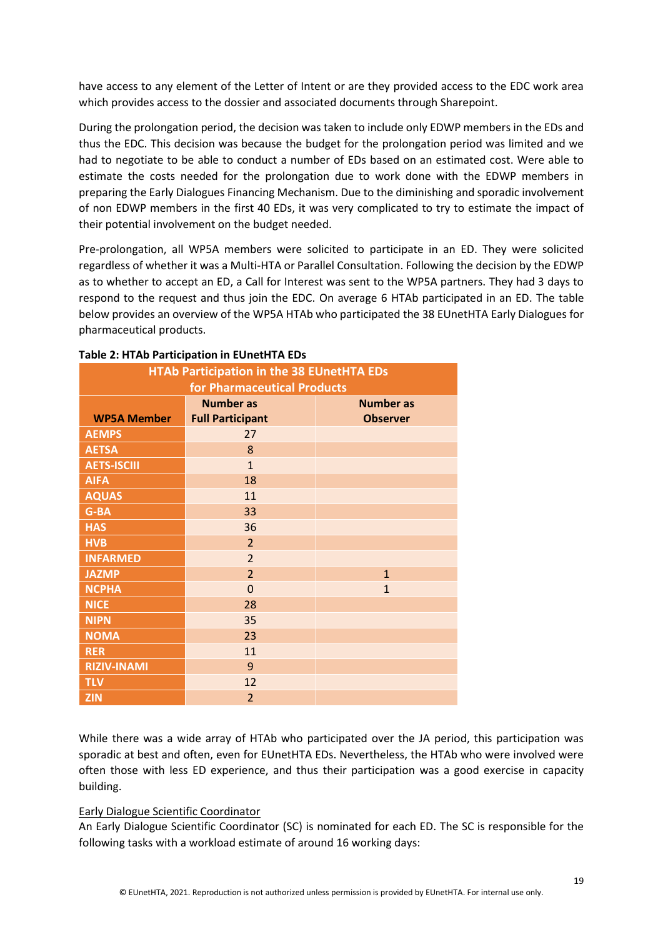have access to any element of the Letter of Intent or are they provided access to the EDC work area which provides access to the dossier and associated documents through Sharepoint.

During the prolongation period, the decision was taken to include only EDWP members in the EDs and thus the EDC. This decision was because the budget for the prolongation period was limited and we had to negotiate to be able to conduct a number of EDs based on an estimated cost. Were able to estimate the costs needed for the prolongation due to work done with the EDWP members in preparing the Early Dialogues Financing Mechanism. Due to the diminishing and sporadic involvement of non EDWP members in the first 40 EDs, it was very complicated to try to estimate the impact of their potential involvement on the budget needed.

Pre-prolongation, all WP5A members were solicited to participate in an ED. They were solicited regardless of whether it was a Multi-HTA or Parallel Consultation. Following the decision by the EDWP as to whether to accept an ED, a Call for Interest was sent to the WP5A partners. They had 3 days to respond to the request and thus join the EDC. On average 6 HTAb participated in an ED. The table below provides an overview of the WP5A HTAb who participated the 38 EUnetHTA Early Dialogues for pharmaceutical products.

| <b>HTAb Participation in the 38 EUnetHTA EDs</b><br>for Pharmaceutical Products |                                             |                                     |  |
|---------------------------------------------------------------------------------|---------------------------------------------|-------------------------------------|--|
| <b>WP5A Member</b>                                                              | <b>Number as</b><br><b>Full Participant</b> | <b>Number as</b><br><b>Observer</b> |  |
| <b>AEMPS</b>                                                                    | 27                                          |                                     |  |
| <b>AETSA</b>                                                                    | 8                                           |                                     |  |
| <b>AETS-ISCIII</b>                                                              | $\mathbf{1}$                                |                                     |  |
| <b>AIFA</b>                                                                     | 18                                          |                                     |  |
| <b>AQUAS</b>                                                                    | 11                                          |                                     |  |
| G-BA                                                                            | 33                                          |                                     |  |
| <b>HAS</b>                                                                      | 36                                          |                                     |  |
| <b>HVB</b>                                                                      | $\overline{2}$                              |                                     |  |
| <b>INFARMED</b>                                                                 | $\overline{2}$                              |                                     |  |
| <b>JAZMP</b>                                                                    | $\overline{2}$                              | $\overline{1}$                      |  |
| <b>NCPHA</b>                                                                    | $\overline{0}$                              | $\overline{1}$                      |  |
| <b>NICE</b>                                                                     | 28                                          |                                     |  |
| <b>NIPN</b>                                                                     | 35                                          |                                     |  |
| <b>NOMA</b>                                                                     | 23                                          |                                     |  |
| <b>RER</b>                                                                      | 11                                          |                                     |  |
| <b>RIZIV-INAMI</b>                                                              | 9                                           |                                     |  |
| <b>TLV</b>                                                                      | 12                                          |                                     |  |
| <b>ZIN</b>                                                                      | $\overline{2}$                              |                                     |  |

#### **Table 2: HTAb Participation in EUnetHTA EDs**

While there was a wide array of HTAb who participated over the JA period, this participation was sporadic at best and often, even for EUnetHTA EDs. Nevertheless, the HTAb who were involved were often those with less ED experience, and thus their participation was a good exercise in capacity building.

#### Early Dialogue Scientific Coordinator

An Early Dialogue Scientific Coordinator (SC) is nominated for each ED. The SC is responsible for the following tasks with a workload estimate of around 16 working days: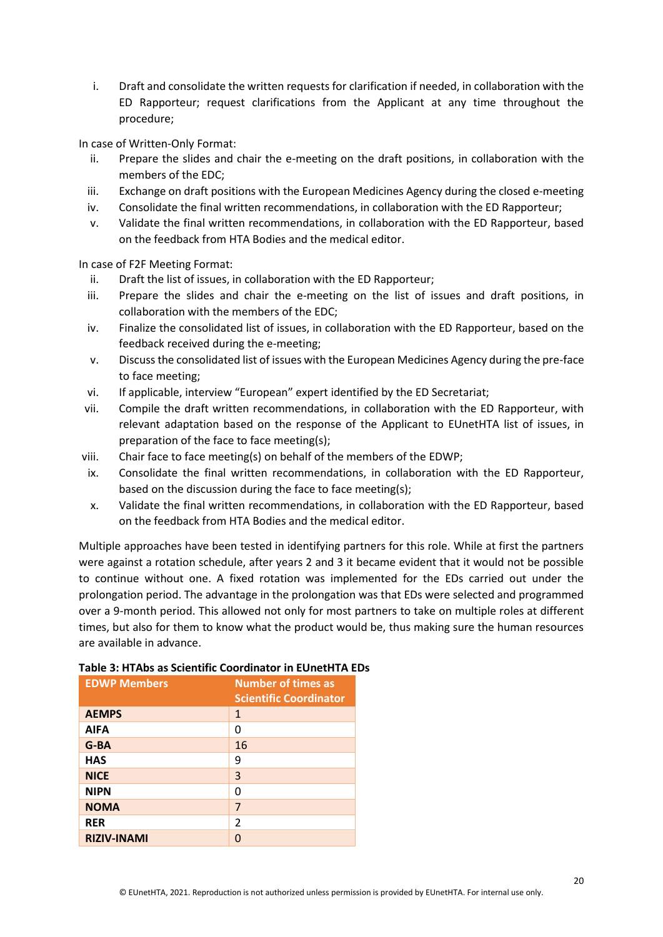i. Draft and consolidate the written requests for clarification if needed, in collaboration with the ED Rapporteur; request clarifications from the Applicant at any time throughout the procedure;

In case of Written-Only Format:

- ii. Prepare the slides and chair the e-meeting on the draft positions, in collaboration with the members of the EDC;
- iii. Exchange on draft positions with the European Medicines Agency during the closed e-meeting
- iv. Consolidate the final written recommendations, in collaboration with the ED Rapporteur;
- v. Validate the final written recommendations, in collaboration with the ED Rapporteur, based on the feedback from HTA Bodies and the medical editor.

In case of F2F Meeting Format:

- ii. Draft the list of issues, in collaboration with the ED Rapporteur;
- iii. Prepare the slides and chair the e-meeting on the list of issues and draft positions, in collaboration with the members of the EDC;
- iv. Finalize the consolidated list of issues, in collaboration with the ED Rapporteur, based on the feedback received during the e-meeting;
- v. Discuss the consolidated list of issues with the European Medicines Agency during the pre-face to face meeting;
- vi. If applicable, interview "European" expert identified by the ED Secretariat;
- vii. Compile the draft written recommendations, in collaboration with the ED Rapporteur, with relevant adaptation based on the response of the Applicant to EUnetHTA list of issues, in preparation of the face to face meeting(s);
- viii. Chair face to face meeting(s) on behalf of the members of the EDWP;
- ix. Consolidate the final written recommendations, in collaboration with the ED Rapporteur, based on the discussion during the face to face meeting(s);
- x. Validate the final written recommendations, in collaboration with the ED Rapporteur, based on the feedback from HTA Bodies and the medical editor.

Multiple approaches have been tested in identifying partners for this role. While at first the partners were against a rotation schedule, after years 2 and 3 it became evident that it would not be possible to continue without one. A fixed rotation was implemented for the EDs carried out under the prolongation period. The advantage in the prolongation was that EDs were selected and programmed over a 9-month period. This allowed not only for most partners to take on multiple roles at different times, but also for them to know what the product would be, thus making sure the human resources are available in advance.

| <b>EDWP Members</b> | <b>Number of times as</b><br><b>Scientific Coordinator</b> |
|---------------------|------------------------------------------------------------|
| <b>AEMPS</b>        | $\mathbf{1}$                                               |
| <b>AIFA</b>         | 0                                                          |
| $G-BA$              | 16                                                         |
| <b>HAS</b>          | 9                                                          |
| <b>NICE</b>         | 3                                                          |
| <b>NIPN</b>         | O                                                          |
| <b>NOMA</b>         | 7                                                          |
| <b>RER</b>          | $\mathfrak{p}$                                             |
| <b>RIZIV-INAMI</b>  | U                                                          |

#### **Table 3: HTAbs as Scientific Coordinator in EUnetHTA EDs**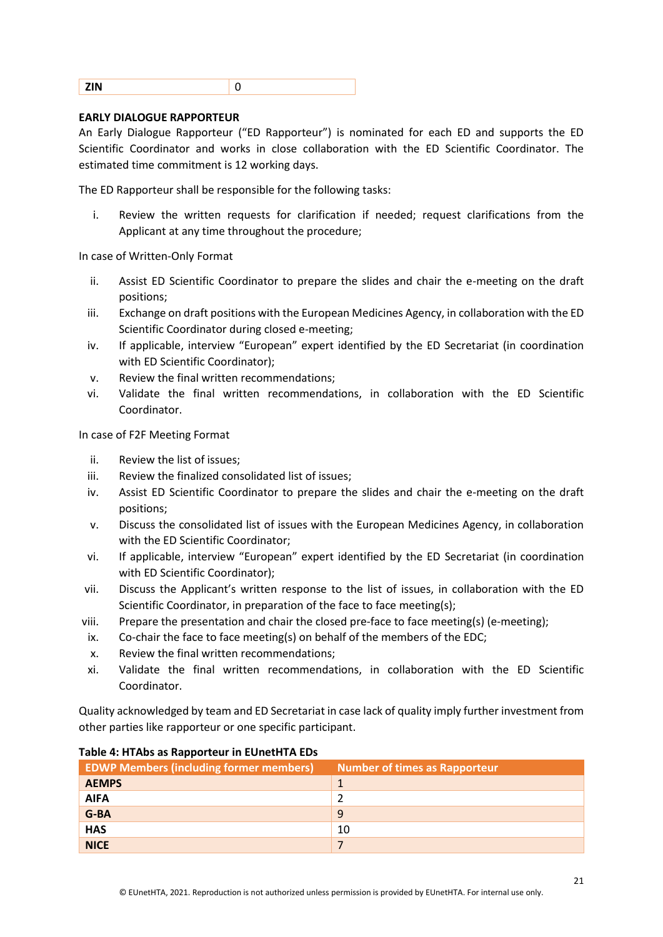#### **EARLY DIALOGUE RAPPORTEUR**

An Early Dialogue Rapporteur ("ED Rapporteur") is nominated for each ED and supports the ED Scientific Coordinator and works in close collaboration with the ED Scientific Coordinator. The estimated time commitment is 12 working days.

The ED Rapporteur shall be responsible for the following tasks:

i. Review the written requests for clarification if needed; request clarifications from the Applicant at any time throughout the procedure;

In case of Written-Only Format

- ii. Assist ED Scientific Coordinator to prepare the slides and chair the e-meeting on the draft positions;
- iii. Exchange on draft positions with the European Medicines Agency, in collaboration with the ED Scientific Coordinator during closed e-meeting;
- iv. If applicable, interview "European" expert identified by the ED Secretariat (in coordination with ED Scientific Coordinator);
- v. Review the final written recommendations;
- vi. Validate the final written recommendations, in collaboration with the ED Scientific Coordinator.

In case of F2F Meeting Format

- ii. Review the list of issues;
- iii. Review the finalized consolidated list of issues;
- iv. Assist ED Scientific Coordinator to prepare the slides and chair the e-meeting on the draft positions;
- v. Discuss the consolidated list of issues with the European Medicines Agency, in collaboration with the ED Scientific Coordinator;
- vi. If applicable, interview "European" expert identified by the ED Secretariat (in coordination with ED Scientific Coordinator);
- vii. Discuss the Applicant's written response to the list of issues, in collaboration with the ED Scientific Coordinator, in preparation of the face to face meeting(s);
- viii. Prepare the presentation and chair the closed pre-face to face meeting(s) (e-meeting);
- ix. Co-chair the face to face meeting(s) on behalf of the members of the EDC;
- x. Review the final written recommendations;
- xi. Validate the final written recommendations, in collaboration with the ED Scientific Coordinator.

Quality acknowledged by team and ED Secretariat in case lack of quality imply further investment from other parties like rapporteur or one specific participant.

| <b>EDWP Members (including former members)</b> | <b>Number of times as Rapporteur</b> |
|------------------------------------------------|--------------------------------------|
| <b>AEMPS</b>                                   |                                      |
| <b>AIFA</b>                                    |                                      |
| G-BA                                           | 9                                    |
| <b>HAS</b>                                     | 10                                   |
| <b>NICE</b>                                    |                                      |

#### **Table 4: HTAbs as Rapporteur in EUnetHTA EDs**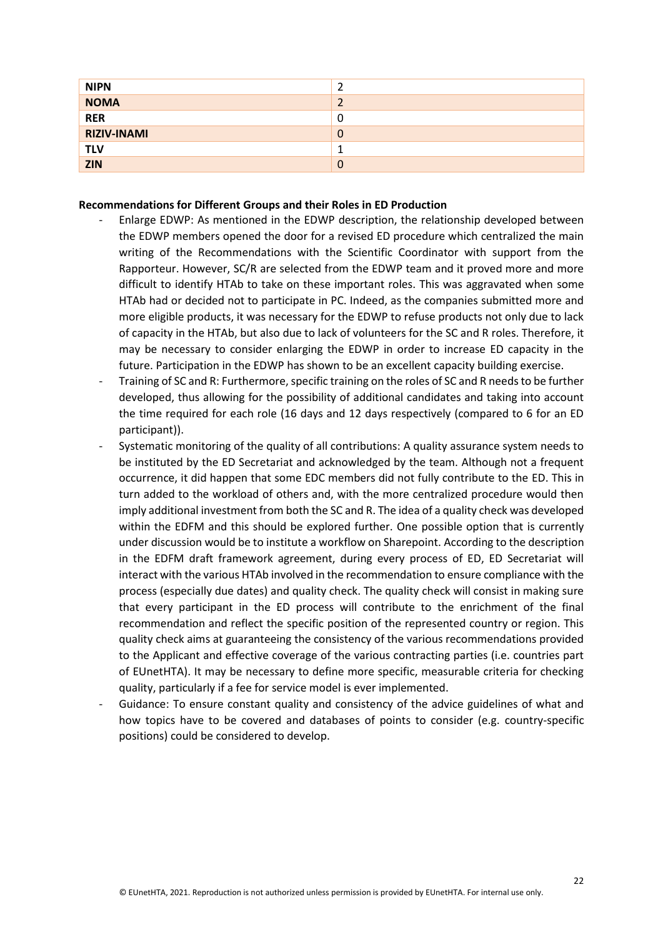| <b>NIPN</b>        |   |
|--------------------|---|
| <b>NOMA</b>        |   |
| <b>RER</b>         | 0 |
| <b>RIZIV-INAMI</b> | 0 |
| <b>TLV</b>         |   |
| <b>ZIN</b>         | 0 |

#### **Recommendations for Different Groups and their Roles in ED Production**

- Enlarge EDWP: As mentioned in the EDWP description, the relationship developed between the EDWP members opened the door for a revised ED procedure which centralized the main writing of the Recommendations with the Scientific Coordinator with support from the Rapporteur. However, SC/R are selected from the EDWP team and it proved more and more difficult to identify HTAb to take on these important roles. This was aggravated when some HTAb had or decided not to participate in PC. Indeed, as the companies submitted more and more eligible products, it was necessary for the EDWP to refuse products not only due to lack of capacity in the HTAb, but also due to lack of volunteers for the SC and R roles. Therefore, it may be necessary to consider enlarging the EDWP in order to increase ED capacity in the future. Participation in the EDWP has shown to be an excellent capacity building exercise.
- Training of SC and R: Furthermore, specific training on the roles of SC and R needs to be further developed, thus allowing for the possibility of additional candidates and taking into account the time required for each role (16 days and 12 days respectively (compared to 6 for an ED participant)).
- Systematic monitoring of the quality of all contributions: A quality assurance system needs to be instituted by the ED Secretariat and acknowledged by the team. Although not a frequent occurrence, it did happen that some EDC members did not fully contribute to the ED. This in turn added to the workload of others and, with the more centralized procedure would then imply additional investment from both the SC and R. The idea of a quality check was developed within the EDFM and this should be explored further. One possible option that is currently under discussion would be to institute a workflow on Sharepoint. According to the description in the EDFM draft framework agreement, during every process of ED, ED Secretariat will interact with the various HTAb involved in the recommendation to ensure compliance with the process (especially due dates) and quality check. The quality check will consist in making sure that every participant in the ED process will contribute to the enrichment of the final recommendation and reflect the specific position of the represented country or region. This quality check aims at guaranteeing the consistency of the various recommendations provided to the Applicant and effective coverage of the various contracting parties (i.e. countries part of EUnetHTA). It may be necessary to define more specific, measurable criteria for checking quality, particularly if a fee for service model is ever implemented.
- Guidance: To ensure constant quality and consistency of the advice guidelines of what and how topics have to be covered and databases of points to consider (e.g. country-specific positions) could be considered to develop.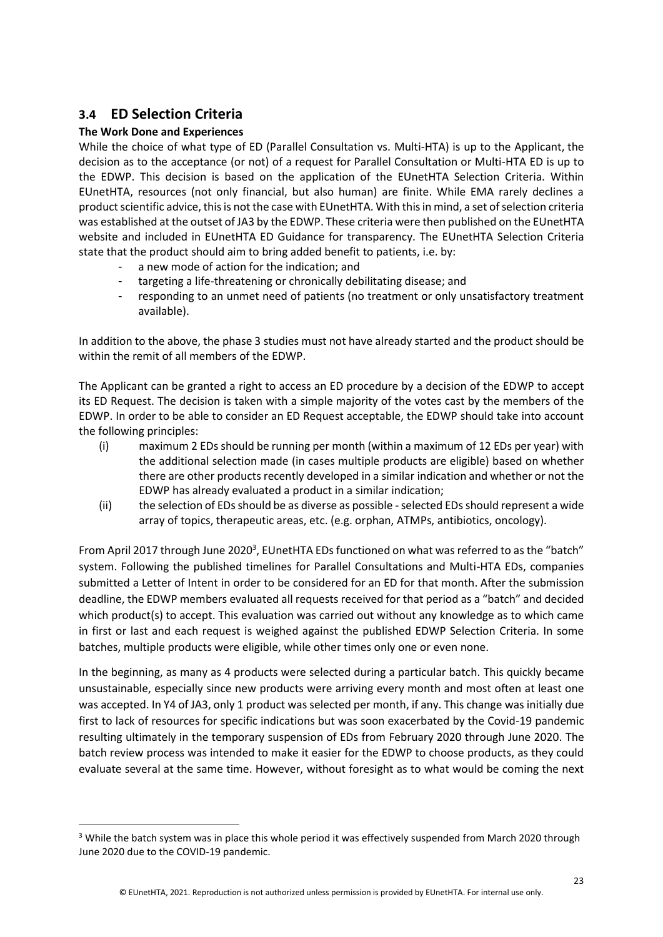# <span id="page-22-0"></span>**3.4 ED Selection Criteria**

### **The Work Done and Experiences**

While the choice of what type of ED (Parallel Consultation vs. Multi-HTA) is up to the Applicant, the decision as to the acceptance (or not) of a request for Parallel Consultation or Multi-HTA ED is up to the EDWP. This decision is based on the application of the EUnetHTA Selection Criteria. Within EUnetHTA, resources (not only financial, but also human) are finite. While EMA rarely declines a product scientific advice, this is not the case with EUnetHTA. With this in mind, a set of selection criteria was established at the outset of JA3 by the EDWP. These criteria were then published on the EUnetHTA website and included in EUnetHTA ED Guidance for transparency. The EUnetHTA Selection Criteria state that the product should aim to bring added benefit to patients, i.e. by:

- a new mode of action for the indication; and
- targeting a life-threatening or chronically debilitating disease; and
- responding to an unmet need of patients (no treatment or only unsatisfactory treatment available).

In addition to the above, the phase 3 studies must not have already started and the product should be within the remit of all members of the EDWP.

The Applicant can be granted a right to access an ED procedure by a decision of the EDWP to accept its ED Request. The decision is taken with a simple majority of the votes cast by the members of the EDWP. In order to be able to consider an ED Request acceptable, the EDWP should take into account the following principles:

- (i) maximum 2 EDs should be running per month (within a maximum of 12 EDs per year) with the additional selection made (in cases multiple products are eligible) based on whether there are other products recently developed in a similar indication and whether or not the EDWP has already evaluated a product in a similar indication;
- (ii) the selection of EDs should be as diverse as possible selected EDs should represent a wide array of topics, therapeutic areas, etc. (e.g. orphan, ATMPs, antibiotics, oncology).

From April 2017 through June 2020<sup>3</sup>, EUnetHTA EDs functioned on what was referred to as the "batch" system. Following the published timelines for Parallel Consultations and Multi-HTA EDs, companies submitted a Letter of Intent in order to be considered for an ED for that month. After the submission deadline, the EDWP members evaluated all requests received for that period as a "batch" and decided which product(s) to accept. This evaluation was carried out without any knowledge as to which came in first or last and each request is weighed against the published EDWP Selection Criteria. In some batches, multiple products were eligible, while other times only one or even none.

In the beginning, as many as 4 products were selected during a particular batch. This quickly became unsustainable, especially since new products were arriving every month and most often at least one was accepted. In Y4 of JA3, only 1 product was selected per month, if any. This change was initially due first to lack of resources for specific indications but was soon exacerbated by the Covid-19 pandemic resulting ultimately in the temporary suspension of EDs from February 2020 through June 2020. The batch review process was intended to make it easier for the EDWP to choose products, as they could evaluate several at the same time. However, without foresight as to what would be coming the next

<sup>&</sup>lt;sup>3</sup> While the batch system was in place this whole period it was effectively suspended from March 2020 through June 2020 due to the COVID-19 pandemic.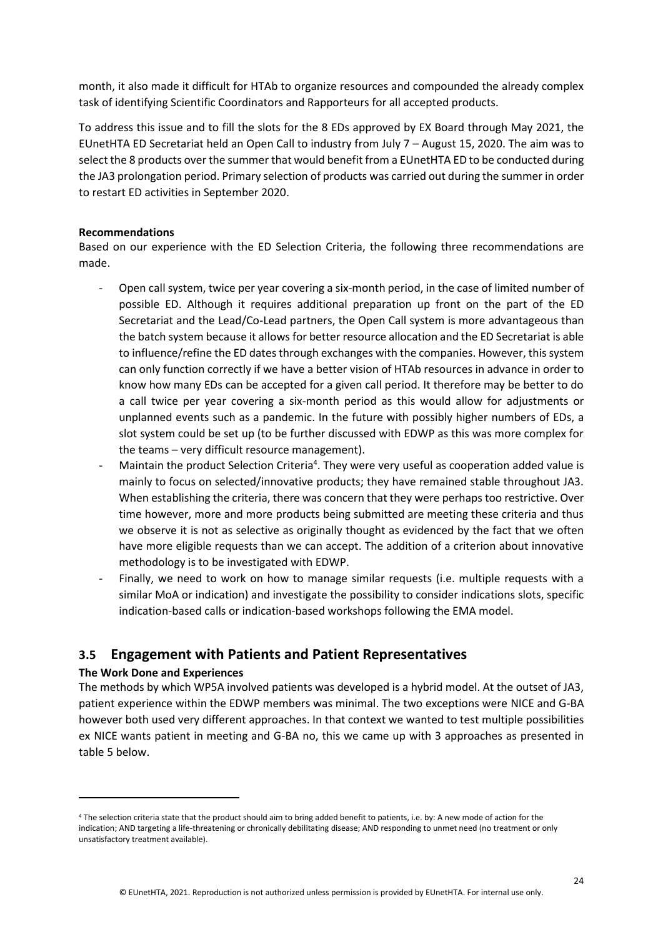month, it also made it difficult for HTAb to organize resources and compounded the already complex task of identifying Scientific Coordinators and Rapporteurs for all accepted products.

To address this issue and to fill the slots for the 8 EDs approved by EX Board through May 2021, the EUnetHTA ED Secretariat held an Open Call to industry from July 7 – August 15, 2020. The aim was to select the 8 products over the summer that would benefit from a EUnetHTA ED to be conducted during the JA3 prolongation period. Primary selection of products was carried out during the summer in order to restart ED activities in September 2020.

#### **Recommendations**

Based on our experience with the ED Selection Criteria, the following three recommendations are made.

- Open call system, twice per year covering a six-month period, in the case of limited number of possible ED. Although it requires additional preparation up front on the part of the ED Secretariat and the Lead/Co-Lead partners, the Open Call system is more advantageous than the batch system because it allows for better resource allocation and the ED Secretariat is able to influence/refine the ED dates through exchanges with the companies. However, this system can only function correctly if we have a better vision of HTAb resources in advance in order to know how many EDs can be accepted for a given call period. It therefore may be better to do a call twice per year covering a six-month period as this would allow for adjustments or unplanned events such as a pandemic. In the future with possibly higher numbers of EDs, a slot system could be set up (to be further discussed with EDWP as this was more complex for the teams – very difficult resource management).
- Maintain the product Selection Criteria<sup>4</sup>. They were very useful as cooperation added value is mainly to focus on selected/innovative products; they have remained stable throughout JA3. When establishing the criteria, there was concern that they were perhaps too restrictive. Over time however, more and more products being submitted are meeting these criteria and thus we observe it is not as selective as originally thought as evidenced by the fact that we often have more eligible requests than we can accept. The addition of a criterion about innovative methodology is to be investigated with EDWP.
- Finally, we need to work on how to manage similar requests (i.e. multiple requests with a similar MoA or indication) and investigate the possibility to consider indications slots, specific indication-based calls or indication-based workshops following the EMA model.

## <span id="page-23-0"></span>**3.5 Engagement with Patients and Patient Representatives**

#### **The Work Done and Experiences**

The methods by which WP5A involved patients was developed is a hybrid model. At the outset of JA3, patient experience within the EDWP members was minimal. The two exceptions were NICE and G-BA however both used very different approaches. In that context we wanted to test multiple possibilities ex NICE wants patient in meeting and G-BA no, this we came up with 3 approaches as presented in table 5 below.

<sup>4</sup> The selection criteria state that the product should aim to bring added benefit to patients, i.e. by: A new mode of action for the indication; AND targeting a life-threatening or chronically debilitating disease; AND responding to unmet need (no treatment or only unsatisfactory treatment available).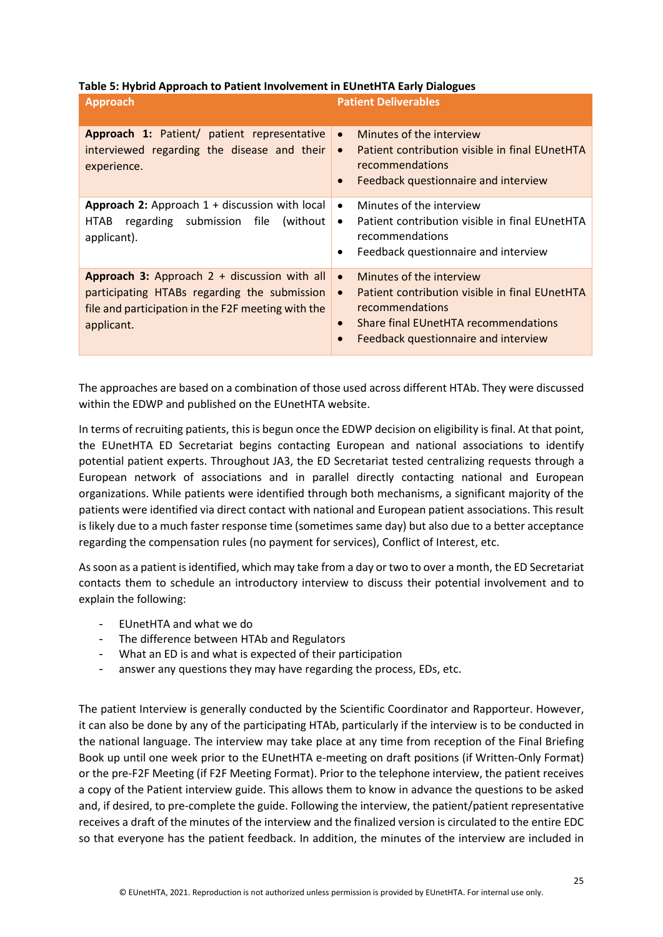#### **Table 5: Hybrid Approach to Patient Involvement in EUnetHTA Early Dialogues**

| <b>Approach</b>                                                                                                                                                    | <b>Patient Deliverables</b>                                                                                                                                                                                                       |
|--------------------------------------------------------------------------------------------------------------------------------------------------------------------|-----------------------------------------------------------------------------------------------------------------------------------------------------------------------------------------------------------------------------------|
| Approach 1: Patient/ patient representative<br>interviewed regarding the disease and their<br>experience.                                                          | Minutes of the interview<br>$\bullet$<br>Patient contribution visible in final EUnetHTA<br>$\bullet$<br>recommendations<br>Feedback questionnaire and interview<br>$\bullet$                                                      |
| <b>Approach 2:</b> Approach $1 +$ discussion with local<br>regarding submission file<br>HTAB<br>(without)<br>applicant).                                           | Minutes of the interview<br>$\bullet$<br>Patient contribution visible in final EUnetHTA<br>$\bullet$<br>recommendations<br>Feedback questionnaire and interview<br>٠                                                              |
| Approach 3: Approach $2 +$ discussion with all<br>participating HTABs regarding the submission<br>file and participation in the F2F meeting with the<br>applicant. | Minutes of the interview<br>$\bullet$<br>Patient contribution visible in final EUnetHTA<br>$\bullet$<br>recommendations<br>Share final EUnetHTA recommendations<br>$\bullet$<br>Feedback questionnaire and interview<br>$\bullet$ |

The approaches are based on a combination of those used across different HTAb. They were discussed within the EDWP and published on the EUnetHTA website.

In terms of recruiting patients, this is begun once the EDWP decision on eligibility is final. At that point, the EUnetHTA ED Secretariat begins contacting European and national associations to identify potential patient experts. Throughout JA3, the ED Secretariat tested centralizing requests through a European network of associations and in parallel directly contacting national and European organizations. While patients were identified through both mechanisms, a significant majority of the patients were identified via direct contact with national and European patient associations. This result is likely due to a much faster response time (sometimes same day) but also due to a better acceptance regarding the compensation rules (no payment for services), Conflict of Interest, etc.

As soon as a patient is identified, which may take from a day or two to over a month, the ED Secretariat contacts them to schedule an introductory interview to discuss their potential involvement and to explain the following:

- EUnetHTA and what we do
- The difference between HTAb and Regulators
- What an ED is and what is expected of their participation
- answer any questions they may have regarding the process, EDs, etc.

The patient Interview is generally conducted by the Scientific Coordinator and Rapporteur. However, it can also be done by any of the participating HTAb, particularly if the interview is to be conducted in the national language. The interview may take place at any time from reception of the Final Briefing Book up until one week prior to the EUnetHTA e-meeting on draft positions (if Written-Only Format) or the pre-F2F Meeting (if F2F Meeting Format). Prior to the telephone interview, the patient receives a copy of the Patient interview guide. This allows them to know in advance the questions to be asked and, if desired, to pre-complete the guide. Following the interview, the patient/patient representative receives a draft of the minutes of the interview and the finalized version is circulated to the entire EDC so that everyone has the patient feedback. In addition, the minutes of the interview are included in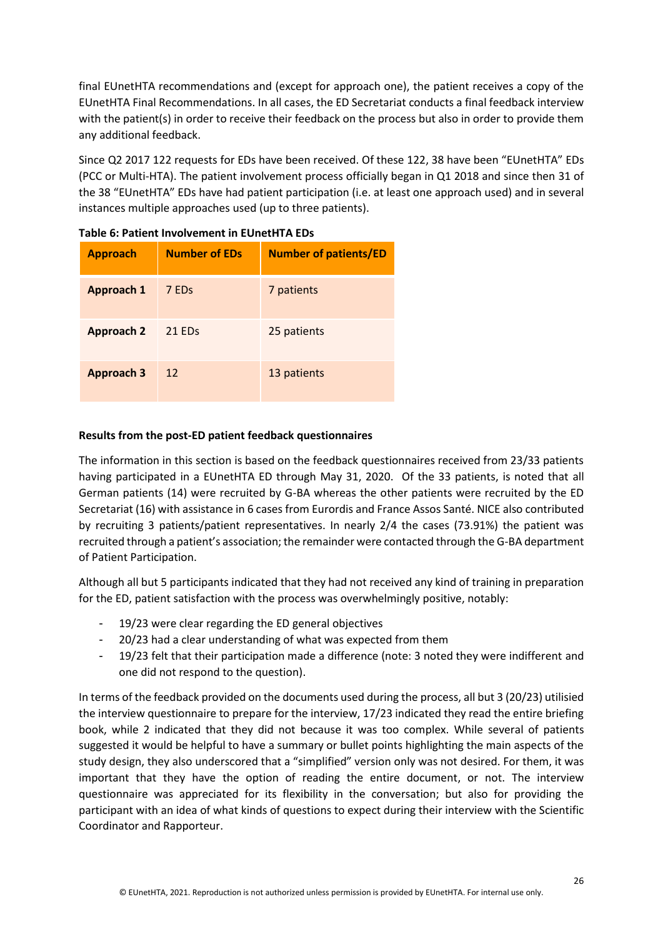final EUnetHTA recommendations and (except for approach one), the patient receives a copy of the EUnetHTA Final Recommendations. In all cases, the ED Secretariat conducts a final feedback interview with the patient(s) in order to receive their feedback on the process but also in order to provide them any additional feedback.

Since Q2 2017 122 requests for EDs have been received. Of these 122, 38 have been "EUnetHTA" EDs (PCC or Multi-HTA). The patient involvement process officially began in Q1 2018 and since then 31 of the 38 "EUnetHTA" EDs have had patient participation (i.e. at least one approach used) and in several instances multiple approaches used (up to three patients).

| <b>Approach</b>   | <b>Number of EDs</b> | <b>Number of patients/ED</b> |
|-------------------|----------------------|------------------------------|
| <b>Approach 1</b> | 7 ED <sub>s</sub>    | 7 patients                   |
| <b>Approach 2</b> | 21 ED <sub>s</sub>   | 25 patients                  |
| <b>Approach 3</b> | 12                   | 13 patients                  |

**Table 6: Patient Involvement in EUnetHTA EDs**

#### **Results from the post-ED patient feedback questionnaires**

The information in this section is based on the feedback questionnaires received from 23/33 patients having participated in a EUnetHTA ED through May 31, 2020. Of the 33 patients, is noted that all German patients (14) were recruited by G-BA whereas the other patients were recruited by the ED Secretariat (16) with assistance in 6 cases from Eurordis and France Assos Santé. NICE also contributed by recruiting 3 patients/patient representatives. In nearly 2/4 the cases (73.91%) the patient was recruited through a patient's association; the remainder were contacted through the G-BA department of Patient Participation.

Although all but 5 participants indicated that they had not received any kind of training in preparation for the ED, patient satisfaction with the process was overwhelmingly positive, notably:

- 19/23 were clear regarding the ED general objectives
- 20/23 had a clear understanding of what was expected from them
- 19/23 felt that their participation made a difference (note: 3 noted they were indifferent and one did not respond to the question).

In terms of the feedback provided on the documents used during the process, all but 3 (20/23) utilisied the interview questionnaire to prepare for the interview, 17/23 indicated they read the entire briefing book, while 2 indicated that they did not because it was too complex. While several of patients suggested it would be helpful to have a summary or bullet points highlighting the main aspects of the study design, they also underscored that a "simplified" version only was not desired. For them, it was important that they have the option of reading the entire document, or not. The interview questionnaire was appreciated for its flexibility in the conversation; but also for providing the participant with an idea of what kinds of questions to expect during their interview with the Scientific Coordinator and Rapporteur.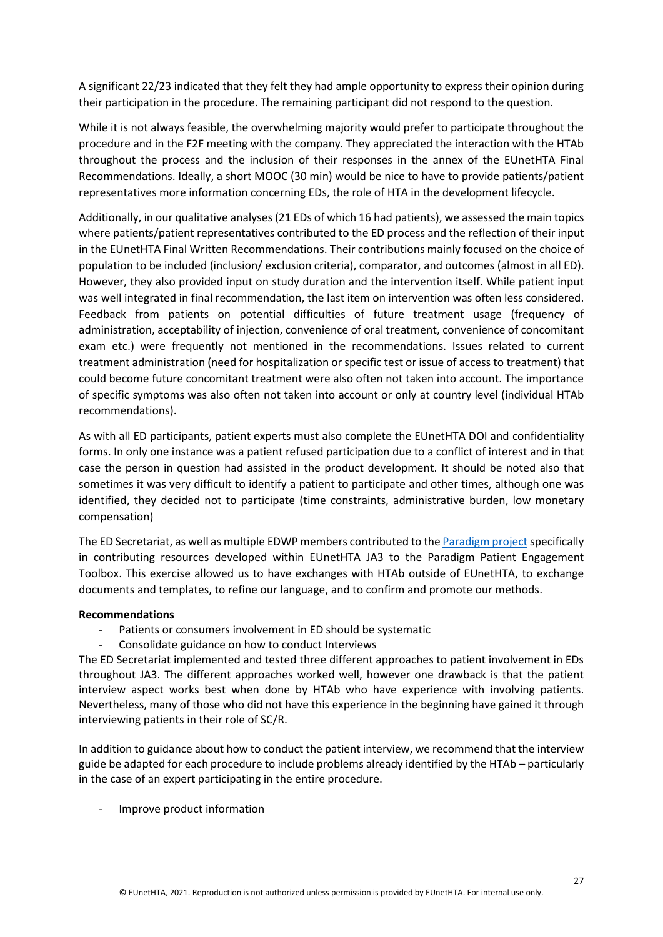A significant 22/23 indicated that they felt they had ample opportunity to express their opinion during their participation in the procedure. The remaining participant did not respond to the question.

While it is not always feasible, the overwhelming majority would prefer to participate throughout the procedure and in the F2F meeting with the company. They appreciated the interaction with the HTAb throughout the process and the inclusion of their responses in the annex of the EUnetHTA Final Recommendations. Ideally, a short MOOC (30 min) would be nice to have to provide patients/patient representatives more information concerning EDs, the role of HTA in the development lifecycle.

Additionally, in our qualitative analyses (21 EDs of which 16 had patients), we assessed the main topics where patients/patient representatives contributed to the ED process and the reflection of their input in the EUnetHTA Final Written Recommendations. Their contributions mainly focused on the choice of population to be included (inclusion/ exclusion criteria), comparator, and outcomes (almost in all ED). However, they also provided input on study duration and the intervention itself. While patient input was well integrated in final recommendation, the last item on intervention was often less considered. Feedback from patients on potential difficulties of future treatment usage (frequency of administration, acceptability of injection, convenience of oral treatment, convenience of concomitant exam etc.) were frequently not mentioned in the recommendations. Issues related to current treatment administration (need for hospitalization or specific test or issue of access to treatment) that could become future concomitant treatment were also often not taken into account. The importance of specific symptoms was also often not taken into account or only at country level (individual HTAb recommendations).

As with all ED participants, patient experts must also complete the EUnetHTA DOI and confidentiality forms. In only one instance was a patient refused participation due to a conflict of interest and in that case the person in question had assisted in the product development. It should be noted also that sometimes it was very difficult to identify a patient to participate and other times, although one was identified, they decided not to participate (time constraints, administrative burden, low monetary compensation)

The ED Secretariat, as well as multiple EDWP members contributed to th[e Paradigm project](https://imi-paradigm.eu/) specifically in contributing resources developed within EUnetHTA JA3 to the Paradigm Patient Engagement Toolbox. This exercise allowed us to have exchanges with HTAb outside of EUnetHTA, to exchange documents and templates, to refine our language, and to confirm and promote our methods.

#### **Recommendations**

- Patients or consumers involvement in ED should be systematic
- Consolidate guidance on how to conduct Interviews

The ED Secretariat implemented and tested three different approaches to patient involvement in EDs throughout JA3. The different approaches worked well, however one drawback is that the patient interview aspect works best when done by HTAb who have experience with involving patients. Nevertheless, many of those who did not have this experience in the beginning have gained it through interviewing patients in their role of SC/R.

In addition to guidance about how to conduct the patient interview, we recommend that the interview guide be adapted for each procedure to include problems already identified by the HTAb – particularly in the case of an expert participating in the entire procedure.

- Improve product information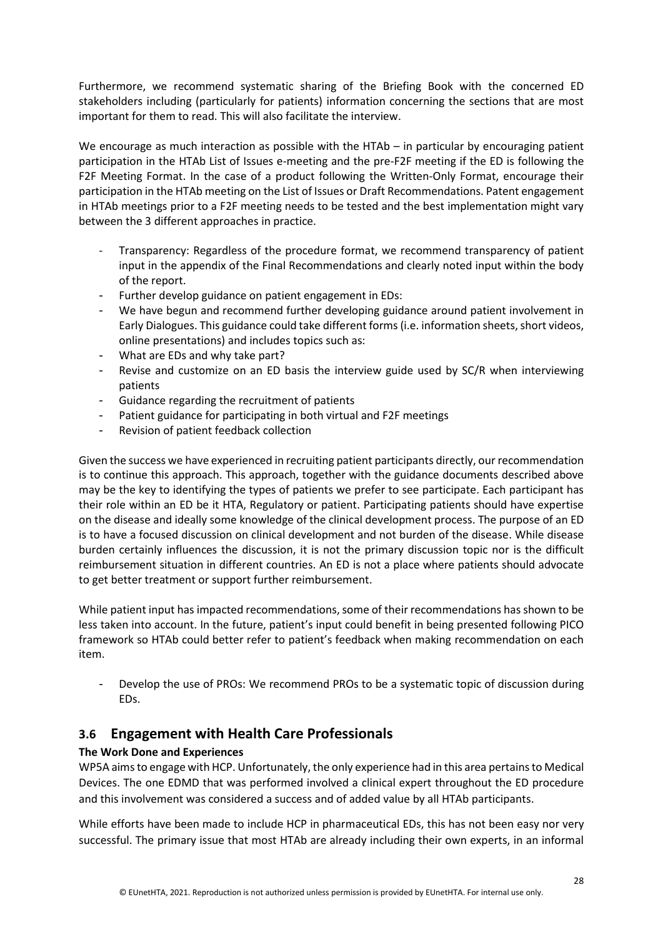Furthermore, we recommend systematic sharing of the Briefing Book with the concerned ED stakeholders including (particularly for patients) information concerning the sections that are most important for them to read. This will also facilitate the interview.

We encourage as much interaction as possible with the HTAb – in particular by encouraging patient participation in the HTAb List of Issues e-meeting and the pre-F2F meeting if the ED is following the F2F Meeting Format. In the case of a product following the Written-Only Format, encourage their participation in the HTAb meeting on the List of Issues or Draft Recommendations. Patent engagement in HTAb meetings prior to a F2F meeting needs to be tested and the best implementation might vary between the 3 different approaches in practice.

- Transparency: Regardless of the procedure format, we recommend transparency of patient input in the appendix of the Final Recommendations and clearly noted input within the body of the report.
- Further develop guidance on patient engagement in EDs:
- We have begun and recommend further developing guidance around patient involvement in Early Dialogues. This guidance could take different forms (i.e. information sheets, short videos, online presentations) and includes topics such as:
- What are EDs and why take part?
- Revise and customize on an ED basis the interview guide used by SC/R when interviewing patients
- Guidance regarding the recruitment of patients
- Patient guidance for participating in both virtual and F2F meetings
- Revision of patient feedback collection

Given the success we have experienced in recruiting patient participants directly, our recommendation is to continue this approach. This approach, together with the guidance documents described above may be the key to identifying the types of patients we prefer to see participate. Each participant has their role within an ED be it HTA, Regulatory or patient. Participating patients should have expertise on the disease and ideally some knowledge of the clinical development process. The purpose of an ED is to have a focused discussion on clinical development and not burden of the disease. While disease burden certainly influences the discussion, it is not the primary discussion topic nor is the difficult reimbursement situation in different countries. An ED is not a place where patients should advocate to get better treatment or support further reimbursement.

While patient input has impacted recommendations, some of their recommendations has shown to be less taken into account. In the future, patient's input could benefit in being presented following PICO framework so HTAb could better refer to patient's feedback when making recommendation on each item.

- Develop the use of PROs: We recommend PROs to be a systematic topic of discussion during EDs.

# <span id="page-27-0"></span>**3.6 Engagement with Health Care Professionals**

## **The Work Done and Experiences**

WP5A aims to engage with HCP. Unfortunately, the only experience had in this area pertains to Medical Devices. The one EDMD that was performed involved a clinical expert throughout the ED procedure and this involvement was considered a success and of added value by all HTAb participants.

While efforts have been made to include HCP in pharmaceutical EDs, this has not been easy nor very successful. The primary issue that most HTAb are already including their own experts, in an informal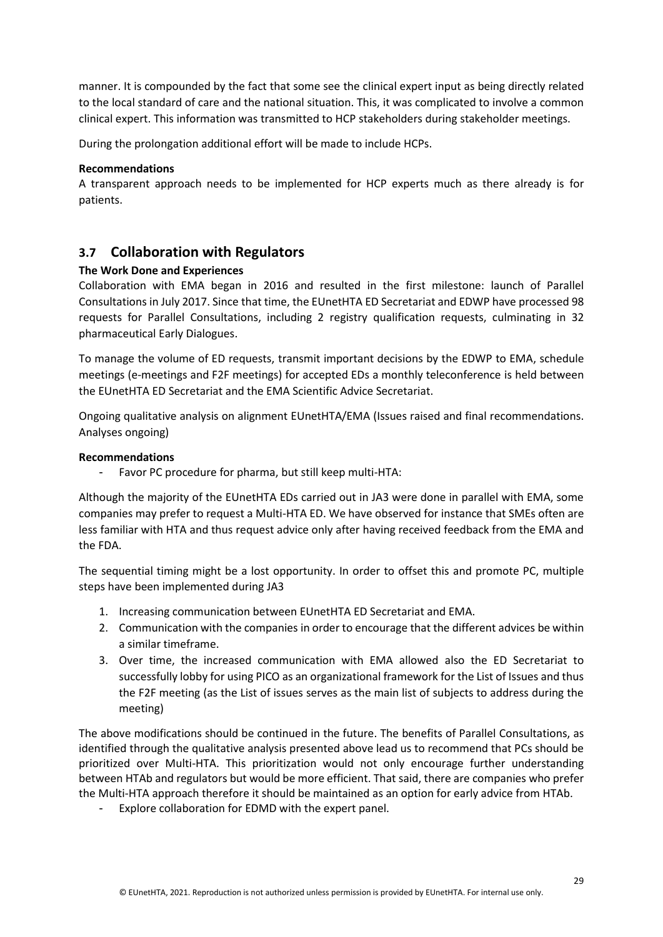manner. It is compounded by the fact that some see the clinical expert input as being directly related to the local standard of care and the national situation. This, it was complicated to involve a common clinical expert. This information was transmitted to HCP stakeholders during stakeholder meetings.

During the prolongation additional effort will be made to include HCPs.

#### **Recommendations**

A transparent approach needs to be implemented for HCP experts much as there already is for patients.

# <span id="page-28-0"></span>**3.7 Collaboration with Regulators**

#### **The Work Done and Experiences**

Collaboration with EMA began in 2016 and resulted in the first milestone: launch of Parallel Consultations in July 2017. Since that time, the EUnetHTA ED Secretariat and EDWP have processed 98 requests for Parallel Consultations, including 2 registry qualification requests, culminating in 32 pharmaceutical Early Dialogues.

To manage the volume of ED requests, transmit important decisions by the EDWP to EMA, schedule meetings (e-meetings and F2F meetings) for accepted EDs a monthly teleconference is held between the EUnetHTA ED Secretariat and the EMA Scientific Advice Secretariat.

Ongoing qualitative analysis on alignment EUnetHTA/EMA (Issues raised and final recommendations. Analyses ongoing)

#### **Recommendations**

Favor PC procedure for pharma, but still keep multi-HTA:

Although the majority of the EUnetHTA EDs carried out in JA3 were done in parallel with EMA, some companies may prefer to request a Multi-HTA ED. We have observed for instance that SMEs often are less familiar with HTA and thus request advice only after having received feedback from the EMA and the FDA.

The sequential timing might be a lost opportunity. In order to offset this and promote PC, multiple steps have been implemented during JA3

- 1. Increasing communication between EUnetHTA ED Secretariat and EMA.
- 2. Communication with the companies in order to encourage that the different advices be within a similar timeframe.
- 3. Over time, the increased communication with EMA allowed also the ED Secretariat to successfully lobby for using PICO as an organizational framework for the List of Issues and thus the F2F meeting (as the List of issues serves as the main list of subjects to address during the meeting)

The above modifications should be continued in the future. The benefits of Parallel Consultations, as identified through the qualitative analysis presented above lead us to recommend that PCs should be prioritized over Multi-HTA. This prioritization would not only encourage further understanding between HTAb and regulators but would be more efficient. That said, there are companies who prefer the Multi-HTA approach therefore it should be maintained as an option for early advice from HTAb.

- Explore collaboration for EDMD with the expert panel.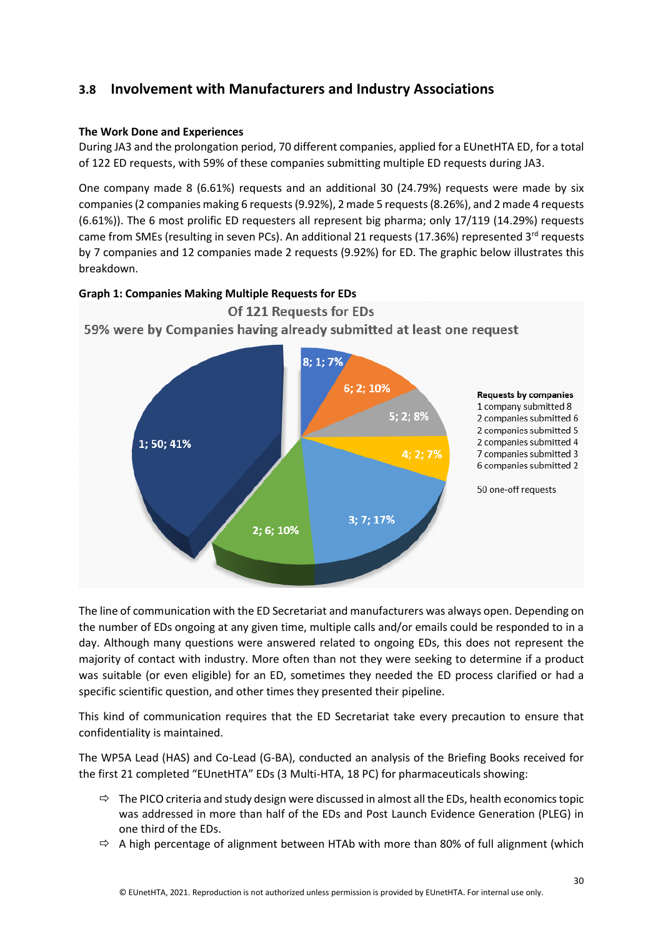# <span id="page-29-0"></span>**3.8 Involvement with Manufacturers and Industry Associations**

#### **The Work Done and Experiences**

During JA3 and the prolongation period, 70 different companies, applied for a EUnetHTA ED, for a total of 122 ED requests, with 59% of these companies submitting multiple ED requests during JA3.

One company made 8 (6.61%) requests and an additional 30 (24.79%) requests were made by six companies(2 companies making 6 requests(9.92%), 2 made 5 requests(8.26%), and 2 made 4 requests (6.61%)). The 6 most prolific ED requesters all represent big pharma; only 17/119 (14.29%) requests came from SMEs (resulting in seven PCs). An additional 21 requests (17.36%) represented 3<sup>rd</sup> requests by 7 companies and 12 companies made 2 requests (9.92%) for ED. The graphic below illustrates this breakdown.



The line of communication with the ED Secretariat and manufacturers was always open. Depending on the number of EDs ongoing at any given time, multiple calls and/or emails could be responded to in a day. Although many questions were answered related to ongoing EDs, this does not represent the majority of contact with industry. More often than not they were seeking to determine if a product was suitable (or even eligible) for an ED, sometimes they needed the ED process clarified or had a specific scientific question, and other times they presented their pipeline.

This kind of communication requires that the ED Secretariat take every precaution to ensure that confidentiality is maintained.

The WP5A Lead (HAS) and Co-Lead (G-BA), conducted an analysis of the Briefing Books received for the first 21 completed "EUnetHTA" EDs (3 Multi-HTA, 18 PC) for pharmaceuticals showing:

- $\Rightarrow$  The PICO criteria and study design were discussed in almost all the EDs, health economics topic was addressed in more than half of the EDs and Post Launch Evidence Generation (PLEG) in one third of the EDs.
- $\Rightarrow$  A high percentage of alignment between HTAb with more than 80% of full alignment (which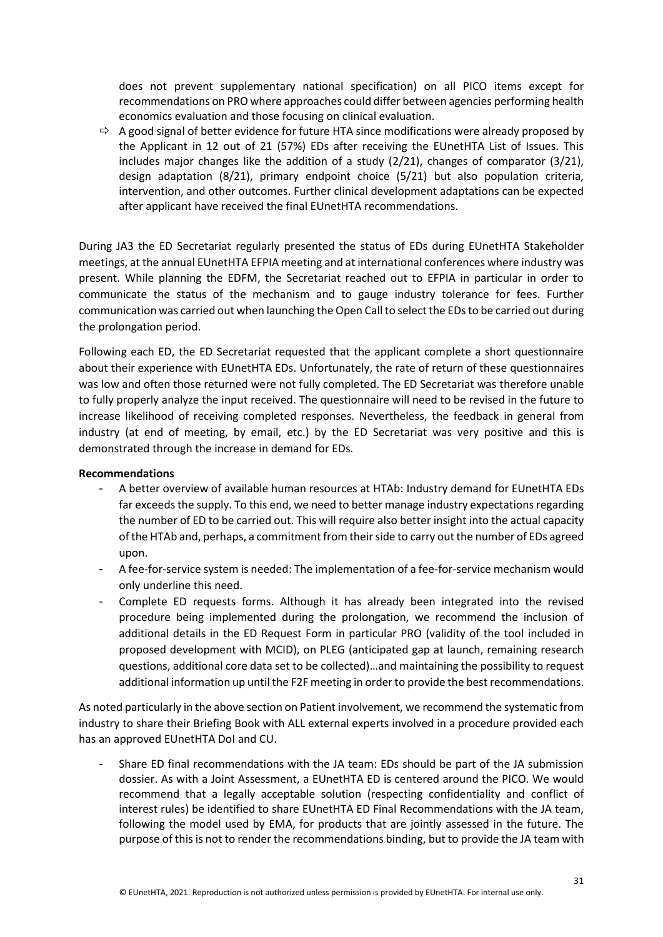does not prevent supplementary national specification) on all PICO items except for recommendations on PRO where approaches could differ between agencies performing health economics evaluation and those focusing on clinical evaluation.

 $\Rightarrow$  A good signal of better evidence for future HTA since modifications were already proposed by the Applicant in 12 out of 21 (57%) EDs after receiving the EUnetHTA List of Issues. This includes major changes like the addition of a study  $(2/21)$ , changes of comparator  $(3/21)$ , design adaptation (8/21), primary endpoint choice (5/21) but also population criteria, intervention, and other outcomes. Further clinical development adaptations can be expected after applicant have received the final EUnetHTA recommendations.

During JA3 the ED Secretariat regularly presented the status of EDs during EUnetHTA Stakeholder meetings, at the annual EUnetHTA EFPIA meeting and at international conferences where industry was present. While planning the EDFM, the Secretariat reached out to EFPIA in particular in order to communicate the status of the mechanism and to gauge industry tolerance for fees. Further communication was carried out when launching the Open Call to select the EDs to be carried out during the prolongation period.

Following each ED, the ED Secretariat requested that the applicant complete a short questionnaire about their experience with EUnetHTA EDs. Unfortunately, the rate of return of these questionnaires was low and often those returned were not fully completed. The ED Secretariat was therefore unable to fully properly analyze the input received. The questionnaire will need to be revised in the future to increase likelihood of receiving completed responses. Nevertheless, the feedback in general from industry (at end of meeting, by email, etc.) by the ED Secretariat was very positive and this is demonstrated through the increase in demand for EDs.

#### **Recommendations**

- A better overview of available human resources at HTAb: Industry demand for EUnetHTA EDs far exceeds the supply. To this end, we need to better manage industry expectations regarding the number of ED to be carried out. This will require also better insight into the actual capacity of the HTAb and, perhaps, a commitment from their side to carry out the number of EDs agreed upon.
- A fee-for-service system is needed: The implementation of a fee-for-service mechanism would only underline this need.
- Complete ED requests forms. Although it has already been integrated into the revised procedure being implemented during the prolongation, we recommend the inclusion of additional details in the ED Request Form in particular PRO (validity of the tool included in proposed development with MCID), on PLEG (anticipated gap at launch, remaining research questions, additional core data set to be collected)…and maintaining the possibility to request additional information up until the F2F meeting in order to provide the best recommendations.

As noted particularly in the above section on Patient involvement, we recommend the systematic from industry to share their Briefing Book with ALL external experts involved in a procedure provided each has an approved EUnetHTA DoI and CU.

- Share ED final recommendations with the JA team: EDs should be part of the JA submission dossier. As with a Joint Assessment, a EUnetHTA ED is centered around the PICO. We would recommend that a legally acceptable solution (respecting confidentiality and conflict of interest rules) be identified to share EUnetHTA ED Final Recommendations with the JA team, following the model used by EMA, for products that are jointly assessed in the future. The purpose of this is not to render the recommendations binding, but to provide the JA team with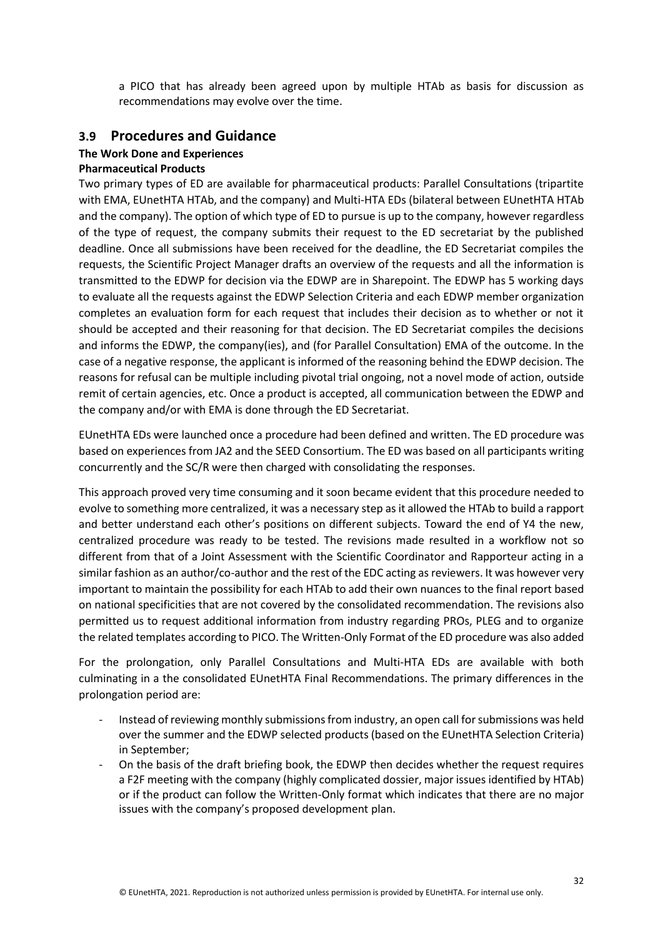a PICO that has already been agreed upon by multiple HTAb as basis for discussion as recommendations may evolve over the time.

### <span id="page-31-0"></span>**3.9 Procedures and Guidance**

## **The Work Done and Experiences**

#### **Pharmaceutical Products**

Two primary types of ED are available for pharmaceutical products: Parallel Consultations (tripartite with EMA, EUnetHTA HTAb, and the company) and Multi-HTA EDs (bilateral between EUnetHTA HTAb and the company). The option of which type of ED to pursue is up to the company, however regardless of the type of request, the company submits their request to the ED secretariat by the published deadline. Once all submissions have been received for the deadline, the ED Secretariat compiles the requests, the Scientific Project Manager drafts an overview of the requests and all the information is transmitted to the EDWP for decision via the EDWP are in Sharepoint. The EDWP has 5 working days to evaluate all the requests against the EDWP Selection Criteria and each EDWP member organization completes an evaluation form for each request that includes their decision as to whether or not it should be accepted and their reasoning for that decision. The ED Secretariat compiles the decisions and informs the EDWP, the company(ies), and (for Parallel Consultation) EMA of the outcome. In the case of a negative response, the applicant is informed of the reasoning behind the EDWP decision. The reasons for refusal can be multiple including pivotal trial ongoing, not a novel mode of action, outside remit of certain agencies, etc. Once a product is accepted, all communication between the EDWP and the company and/or with EMA is done through the ED Secretariat.

EUnetHTA EDs were launched once a procedure had been defined and written. The ED procedure was based on experiences from JA2 and the SEED Consortium. The ED was based on all participants writing concurrently and the SC/R were then charged with consolidating the responses.

This approach proved very time consuming and it soon became evident that this procedure needed to evolve to something more centralized, it was a necessary step as it allowed the HTAb to build a rapport and better understand each other's positions on different subjects. Toward the end of Y4 the new, centralized procedure was ready to be tested. The revisions made resulted in a workflow not so different from that of a Joint Assessment with the Scientific Coordinator and Rapporteur acting in a similar fashion as an author/co-author and the rest of the EDC acting as reviewers. It was however very important to maintain the possibility for each HTAb to add their own nuances to the final report based on national specificities that are not covered by the consolidated recommendation. The revisions also permitted us to request additional information from industry regarding PROs, PLEG and to organize the related templates according to PICO. The Written-Only Format of the ED procedure was also added

For the prolongation, only Parallel Consultations and Multi-HTA EDs are available with both culminating in a the consolidated EUnetHTA Final Recommendations. The primary differences in the prolongation period are:

- Instead of reviewing monthly submissions from industry, an open call for submissions was held over the summer and the EDWP selected products (based on the EUnetHTA Selection Criteria) in September;
- On the basis of the draft briefing book, the EDWP then decides whether the request requires a F2F meeting with the company (highly complicated dossier, major issues identified by HTAb) or if the product can follow the Written-Only format which indicates that there are no major issues with the company's proposed development plan.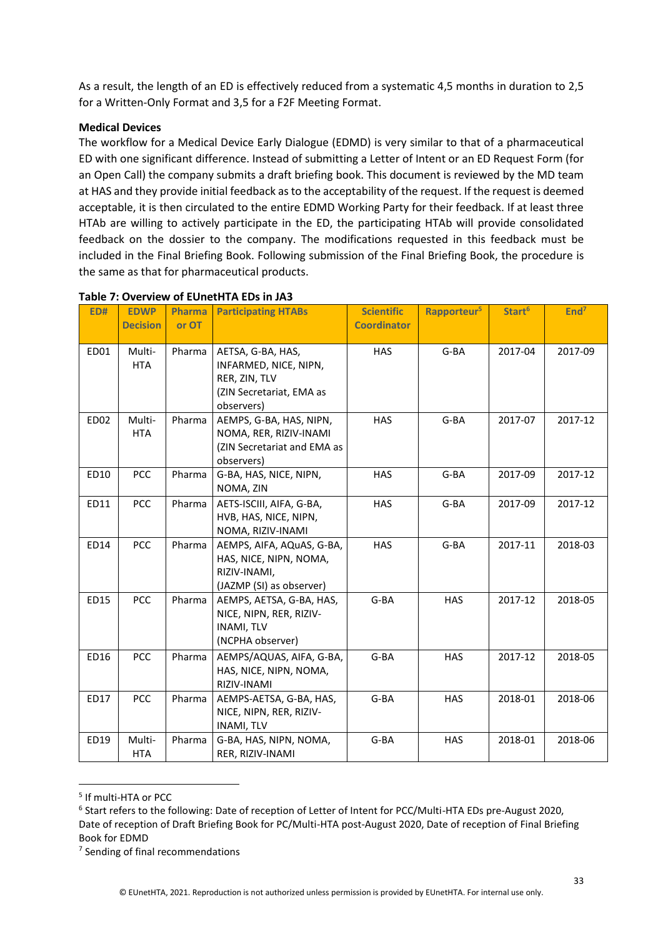As a result, the length of an ED is effectively reduced from a systematic 4,5 months in duration to 2,5 for a Written-Only Format and 3,5 for a F2F Meeting Format.

#### **Medical Devices**

The workflow for a Medical Device Early Dialogue (EDMD) is very similar to that of a pharmaceutical ED with one significant difference. Instead of submitting a Letter of Intent or an ED Request Form (for an Open Call) the company submits a draft briefing book. This document is reviewed by the MD team at HAS and they provide initial feedback as to the acceptability of the request. If the request is deemed acceptable, it is then circulated to the entire EDMD Working Party for their feedback. If at least three HTAb are willing to actively participate in the ED, the participating HTAb will provide consolidated feedback on the dossier to the company. The modifications requested in this feedback must be included in the Final Briefing Book. Following submission of the Final Briefing Book, the procedure is the same as that for pharmaceutical products.

| <b>ED#</b> | <b>EDWP</b><br><b>Decision</b> | Pharma<br>or OT | <b>Participating HTABs</b>                                                                            | <b>Scientific</b><br><b>Coordinator</b> | Rapporteur <sup>5</sup> | Start <sup>6</sup> | End <sup>7</sup> |
|------------|--------------------------------|-----------------|-------------------------------------------------------------------------------------------------------|-----------------------------------------|-------------------------|--------------------|------------------|
| ED01       | Multi-<br><b>HTA</b>           | Pharma          | AETSA, G-BA, HAS,<br>INFARMED, NICE, NIPN,<br>RER, ZIN, TLV<br>(ZIN Secretariat, EMA as<br>observers) | <b>HAS</b>                              | G-BA                    | 2017-04            | 2017-09          |
| ED02       | Multi-<br><b>HTA</b>           | Pharma          | AEMPS, G-BA, HAS, NIPN,<br>NOMA, RER, RIZIV-INAMI<br>(ZIN Secretariat and EMA as<br>observers)        | <b>HAS</b>                              | G-BA                    | 2017-07            | 2017-12          |
| ED10       | <b>PCC</b>                     | Pharma          | G-BA, HAS, NICE, NIPN,<br>NOMA, ZIN                                                                   | <b>HAS</b>                              | G-BA                    | 2017-09            | 2017-12          |
| ED11       | <b>PCC</b>                     | Pharma          | AETS-ISCIII, AIFA, G-BA,<br>HVB, HAS, NICE, NIPN,<br>NOMA, RIZIV-INAMI                                | <b>HAS</b>                              | G-BA                    | 2017-09            | 2017-12          |
| ED14       | <b>PCC</b>                     | Pharma          | AEMPS, AIFA, AQuAS, G-BA,<br>HAS, NICE, NIPN, NOMA,<br>RIZIV-INAMI,<br>(JAZMP (SI) as observer)       | <b>HAS</b>                              | G-BA                    | 2017-11            | 2018-03          |
| ED15       | <b>PCC</b>                     | Pharma          | AEMPS, AETSA, G-BA, HAS,<br>NICE, NIPN, RER, RIZIV-<br><b>INAMI, TLV</b><br>(NCPHA observer)          | G-BA                                    | <b>HAS</b>              | 2017-12            | 2018-05          |
| ED16       | <b>PCC</b>                     | Pharma          | AEMPS/AQUAS, AIFA, G-BA,<br>HAS, NICE, NIPN, NOMA,<br>RIZIV-INAMI                                     | G-BA                                    | <b>HAS</b>              | 2017-12            | 2018-05          |
| ED17       | <b>PCC</b>                     | Pharma          | AEMPS-AETSA, G-BA, HAS,<br>NICE, NIPN, RER, RIZIV-<br><b>INAMI, TLV</b>                               | G-BA                                    | <b>HAS</b>              | 2018-01            | 2018-06          |
| ED19       | Multi-<br><b>HTA</b>           | Pharma          | G-BA, HAS, NIPN, NOMA,<br>RER, RIZIV-INAMI                                                            | G-BA                                    | <b>HAS</b>              | 2018-01            | 2018-06          |

#### **Table 7: Overview of EUnetHTA EDs in JA3**

<sup>5</sup> If multi-HTA or PCC

<sup>6</sup> Start refers to the following: Date of reception of Letter of Intent for PCC/Multi-HTA EDs pre-August 2020, Date of reception of Draft Briefing Book for PC/Multi-HTA post-August 2020, Date of reception of Final Briefing Book for EDMD

<sup>&</sup>lt;sup>7</sup> Sending of final recommendations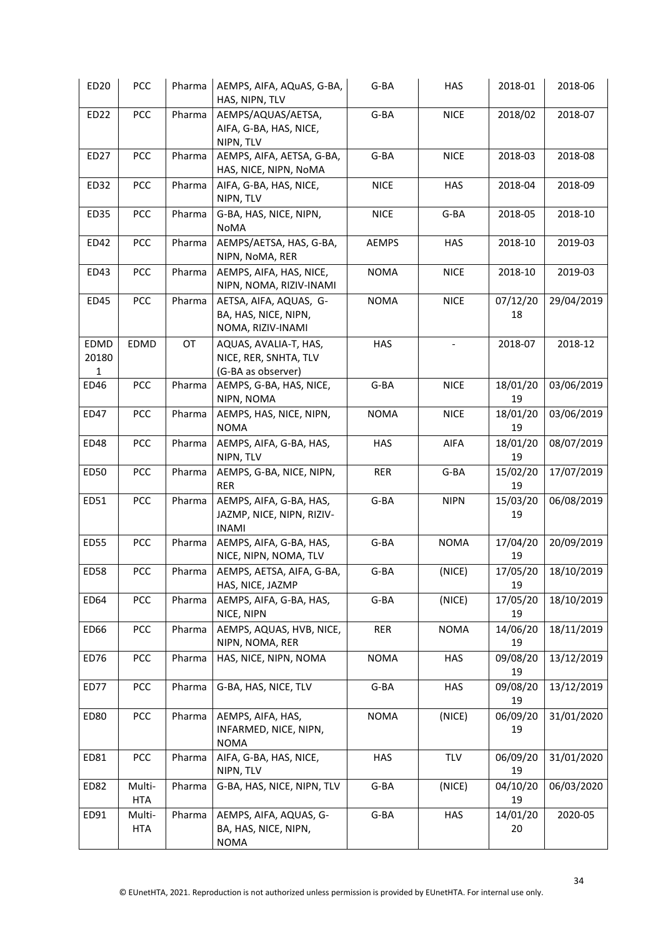| ED20                          | <b>PCC</b>           | Pharma | AEMPS, AIFA, AQuAS, G-BA,<br>HAS, NIPN, TLV                          | G-BA         | <b>HAS</b>  | 2018-01        | 2018-06    |
|-------------------------------|----------------------|--------|----------------------------------------------------------------------|--------------|-------------|----------------|------------|
| ED22                          | PCC                  | Pharma | AEMPS/AQUAS/AETSA,<br>AIFA, G-BA, HAS, NICE,<br>NIPN, TLV            | G-BA         | <b>NICE</b> | 2018/02        | 2018-07    |
| ED27                          | <b>PCC</b>           | Pharma | AEMPS, AIFA, AETSA, G-BA,<br>HAS, NICE, NIPN, NoMA                   | G-BA         | <b>NICE</b> | 2018-03        | 2018-08    |
| ED32                          | <b>PCC</b>           | Pharma | AIFA, G-BA, HAS, NICE,<br>NIPN, TLV                                  | <b>NICE</b>  | <b>HAS</b>  | 2018-04        | 2018-09    |
| ED35                          | <b>PCC</b>           | Pharma | G-BA, HAS, NICE, NIPN,<br>NoMA                                       | <b>NICE</b>  | G-BA        | 2018-05        | 2018-10    |
| ED42                          | PCC                  | Pharma | AEMPS/AETSA, HAS, G-BA,<br>NIPN, NoMA, RER                           | <b>AEMPS</b> | <b>HAS</b>  | 2018-10        | 2019-03    |
| ED43                          | PCC                  | Pharma | AEMPS, AIFA, HAS, NICE,<br>NIPN, NOMA, RIZIV-INAMI                   | <b>NOMA</b>  | <b>NICE</b> | 2018-10        | 2019-03    |
| ED45                          | <b>PCC</b>           | Pharma | AETSA, AIFA, AQUAS, G-<br>BA, HAS, NICE, NIPN,<br>NOMA, RIZIV-INAMI  | <b>NOMA</b>  | <b>NICE</b> | 07/12/20<br>18 | 29/04/2019 |
| EDMD<br>20180<br>$\mathbf{1}$ | EDMD                 | OT     | AQUAS, AVALIA-T, HAS,<br>NICE, RER, SNHTA, TLV<br>(G-BA as observer) | <b>HAS</b>   |             | 2018-07        | 2018-12    |
| ED46                          | PCC                  | Pharma | AEMPS, G-BA, HAS, NICE,<br>NIPN, NOMA                                | G-BA         | <b>NICE</b> | 18/01/20<br>19 | 03/06/2019 |
| ED47                          | <b>PCC</b>           | Pharma | AEMPS, HAS, NICE, NIPN,<br><b>NOMA</b>                               | <b>NOMA</b>  | <b>NICE</b> | 18/01/20<br>19 | 03/06/2019 |
| ED48                          | <b>PCC</b>           | Pharma | AEMPS, AIFA, G-BA, HAS,<br>NIPN, TLV                                 | <b>HAS</b>   | AIFA        | 18/01/20<br>19 | 08/07/2019 |
| ED50                          | <b>PCC</b>           | Pharma | AEMPS, G-BA, NICE, NIPN,<br><b>RER</b>                               | RER          | G-BA        | 15/02/20<br>19 | 17/07/2019 |
| ED51                          | <b>PCC</b>           | Pharma | AEMPS, AIFA, G-BA, HAS,<br>JAZMP, NICE, NIPN, RIZIV-<br><b>INAMI</b> | G-BA         | <b>NIPN</b> | 15/03/20<br>19 | 06/08/2019 |
| ED55                          | PCC                  | Pharma | AEMPS, AIFA, G-BA, HAS,<br>NICE, NIPN, NOMA, TLV                     | G-BA         | <b>NOMA</b> | 17/04/20<br>19 | 20/09/2019 |
| ED58                          | <b>PCC</b>           | Pharma | AEMPS, AETSA, AIFA, G-BA,<br>HAS, NICE, JAZMP                        | $G$ -BA      | (NICE)      | 17/05/20<br>19 | 18/10/2019 |
| ED64                          | PCC                  | Pharma | AEMPS, AIFA, G-BA, HAS,<br>NICE, NIPN                                | G-BA         | (NICE)      | 17/05/20<br>19 | 18/10/2019 |
| ED66                          | <b>PCC</b>           | Pharma | AEMPS, AQUAS, HVB, NICE,<br>NIPN, NOMA, RER                          | RER          | <b>NOMA</b> | 14/06/20<br>19 | 18/11/2019 |
| ED76                          | <b>PCC</b>           | Pharma | HAS, NICE, NIPN, NOMA                                                | <b>NOMA</b>  | <b>HAS</b>  | 09/08/20<br>19 | 13/12/2019 |
| ED77                          | <b>PCC</b>           | Pharma | G-BA, HAS, NICE, TLV                                                 | G-BA         | HAS         | 09/08/20<br>19 | 13/12/2019 |
| ED80                          | <b>PCC</b>           | Pharma | AEMPS, AIFA, HAS,<br>INFARMED, NICE, NIPN,<br><b>NOMA</b>            | <b>NOMA</b>  | (NICE)      | 06/09/20<br>19 | 31/01/2020 |
| ED81                          | PCC                  | Pharma | AIFA, G-BA, HAS, NICE,<br>NIPN, TLV                                  | <b>HAS</b>   | TLV         | 06/09/20<br>19 | 31/01/2020 |
| ED82                          | Multi-<br><b>HTA</b> | Pharma | G-BA, HAS, NICE, NIPN, TLV                                           | G-BA         | (NICE)      | 04/10/20<br>19 | 06/03/2020 |
| ED91                          | Multi-<br>HTA        | Pharma | AEMPS, AIFA, AQUAS, G-<br>BA, HAS, NICE, NIPN,<br><b>NOMA</b>        | G-BA         | <b>HAS</b>  | 14/01/20<br>20 | 2020-05    |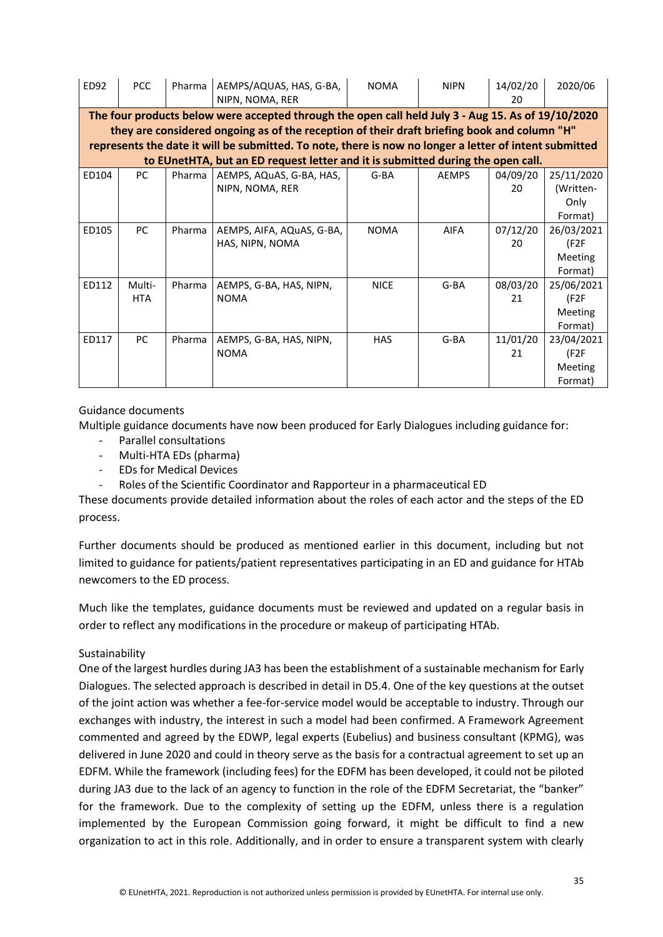| ED92  | PCC                                                                                                | Pharma | AEMPS/AQUAS, HAS, G-BA,<br>NIPN, NOMA, RER                                                             | <b>NOMA</b> | <b>NIPN</b>  | 14/02/20<br>20 | 2020/06    |  |
|-------|----------------------------------------------------------------------------------------------------|--------|--------------------------------------------------------------------------------------------------------|-------------|--------------|----------------|------------|--|
|       | The four products below were accepted through the open call held July 3 - Aug 15. As of 19/10/2020 |        |                                                                                                        |             |              |                |            |  |
|       |                                                                                                    |        | they are considered ongoing as of the reception of their draft briefing book and column "H"            |             |              |                |            |  |
|       |                                                                                                    |        | represents the date it will be submitted. To note, there is now no longer a letter of intent submitted |             |              |                |            |  |
|       |                                                                                                    |        | to EUnetHTA, but an ED request letter and it is submitted during the open call.                        |             |              |                |            |  |
| ED104 | PC.                                                                                                | Pharma | AEMPS, AQuAS, G-BA, HAS,                                                                               | G-BA        | <b>AEMPS</b> | 04/09/20       | 25/11/2020 |  |
|       |                                                                                                    |        | NIPN, NOMA, RER                                                                                        |             |              | 20             | (Written-  |  |
|       |                                                                                                    |        |                                                                                                        |             |              |                | Only       |  |
|       |                                                                                                    |        |                                                                                                        |             |              |                | Format)    |  |
| ED105 | <b>PC</b>                                                                                          | Pharma | AEMPS, AIFA, AQuAS, G-BA,                                                                              | <b>NOMA</b> | <b>AIFA</b>  | 07/12/20       | 26/03/2021 |  |
|       |                                                                                                    |        | HAS, NIPN, NOMA                                                                                        |             |              | 20             | (F2F       |  |
|       |                                                                                                    |        |                                                                                                        |             |              |                | Meeting    |  |
|       |                                                                                                    |        |                                                                                                        |             |              |                | Format)    |  |
| ED112 | Multi-                                                                                             | Pharma | AEMPS, G-BA, HAS, NIPN,                                                                                | <b>NICE</b> | G-BA         | 08/03/20       | 25/06/2021 |  |
|       | <b>HTA</b>                                                                                         |        | <b>NOMA</b>                                                                                            |             |              | 21             | (F2F)      |  |
|       |                                                                                                    |        |                                                                                                        |             |              |                | Meeting    |  |
|       |                                                                                                    |        |                                                                                                        |             |              |                | Format)    |  |
| ED117 | <b>PC</b>                                                                                          | Pharma | AEMPS, G-BA, HAS, NIPN,                                                                                | <b>HAS</b>  | G-BA         | 11/01/20       | 23/04/2021 |  |
|       |                                                                                                    |        | <b>NOMA</b>                                                                                            |             |              | 21             | (F2F)      |  |
|       |                                                                                                    |        |                                                                                                        |             |              |                | Meeting    |  |
|       |                                                                                                    |        |                                                                                                        |             |              |                | Format)    |  |

### Guidance documents

Multiple guidance documents have now been produced for Early Dialogues including guidance for:

- Parallel consultations
- Multi-HTA EDs (pharma)
- EDs for Medical Devices
- Roles of the Scientific Coordinator and Rapporteur in a pharmaceutical ED

These documents provide detailed information about the roles of each actor and the steps of the ED process.

Further documents should be produced as mentioned earlier in this document, including but not limited to guidance for patients/patient representatives participating in an ED and guidance for HTAb newcomers to the ED process.

Much like the templates, guidance documents must be reviewed and updated on a regular basis in order to reflect any modifications in the procedure or makeup of participating HTAb.

#### Sustainability

One of the largest hurdles during JA3 has been the establishment of a sustainable mechanism for Early Dialogues. The selected approach is described in detail in D5.4. One of the key questions at the outset of the joint action was whether a fee-for-service model would be acceptable to industry. Through our exchanges with industry, the interest in such a model had been confirmed. A Framework Agreement commented and agreed by the EDWP, legal experts (Eubelius) and business consultant (KPMG), was delivered in June 2020 and could in theory serve as the basis for a contractual agreement to set up an EDFM. While the framework (including fees) for the EDFM has been developed, it could not be piloted during JA3 due to the lack of an agency to function in the role of the EDFM Secretariat, the "banker" for the framework. Due to the complexity of setting up the EDFM, unless there is a regulation implemented by the European Commission going forward, it might be difficult to find a new organization to act in this role. Additionally, and in order to ensure a transparent system with clearly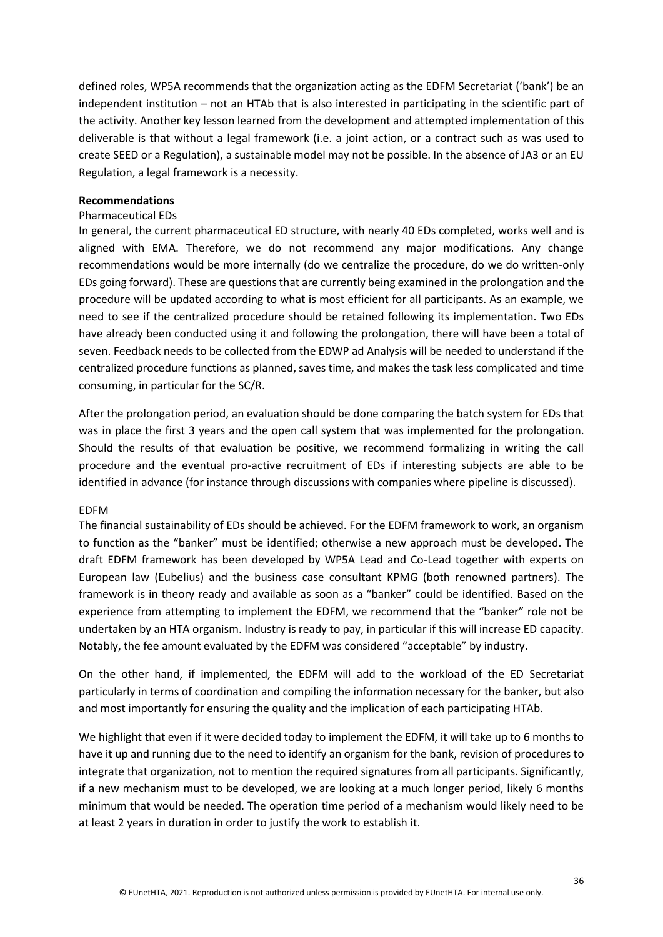defined roles, WP5A recommends that the organization acting as the EDFM Secretariat ('bank') be an independent institution – not an HTAb that is also interested in participating in the scientific part of the activity. Another key lesson learned from the development and attempted implementation of this deliverable is that without a legal framework (i.e. a joint action, or a contract such as was used to create SEED or a Regulation), a sustainable model may not be possible. In the absence of JA3 or an EU Regulation, a legal framework is a necessity.

#### **Recommendations**

#### Pharmaceutical EDs

In general, the current pharmaceutical ED structure, with nearly 40 EDs completed, works well and is aligned with EMA. Therefore, we do not recommend any major modifications. Any change recommendations would be more internally (do we centralize the procedure, do we do written-only EDs going forward). These are questions that are currently being examined in the prolongation and the procedure will be updated according to what is most efficient for all participants. As an example, we need to see if the centralized procedure should be retained following its implementation. Two EDs have already been conducted using it and following the prolongation, there will have been a total of seven. Feedback needs to be collected from the EDWP ad Analysis will be needed to understand if the centralized procedure functions as planned, saves time, and makes the task less complicated and time consuming, in particular for the SC/R.

After the prolongation period, an evaluation should be done comparing the batch system for EDs that was in place the first 3 years and the open call system that was implemented for the prolongation. Should the results of that evaluation be positive, we recommend formalizing in writing the call procedure and the eventual pro-active recruitment of EDs if interesting subjects are able to be identified in advance (for instance through discussions with companies where pipeline is discussed).

#### EDFM

The financial sustainability of EDs should be achieved. For the EDFM framework to work, an organism to function as the "banker" must be identified; otherwise a new approach must be developed. The draft EDFM framework has been developed by WP5A Lead and Co-Lead together with experts on European law (Eubelius) and the business case consultant KPMG (both renowned partners). The framework is in theory ready and available as soon as a "banker" could be identified. Based on the experience from attempting to implement the EDFM, we recommend that the "banker" role not be undertaken by an HTA organism. Industry is ready to pay, in particular if this will increase ED capacity. Notably, the fee amount evaluated by the EDFM was considered "acceptable" by industry.

On the other hand, if implemented, the EDFM will add to the workload of the ED Secretariat particularly in terms of coordination and compiling the information necessary for the banker, but also and most importantly for ensuring the quality and the implication of each participating HTAb.

We highlight that even if it were decided today to implement the EDFM, it will take up to 6 months to have it up and running due to the need to identify an organism for the bank, revision of procedures to integrate that organization, not to mention the required signatures from all participants. Significantly, if a new mechanism must to be developed, we are looking at a much longer period, likely 6 months minimum that would be needed. The operation time period of a mechanism would likely need to be at least 2 years in duration in order to justify the work to establish it.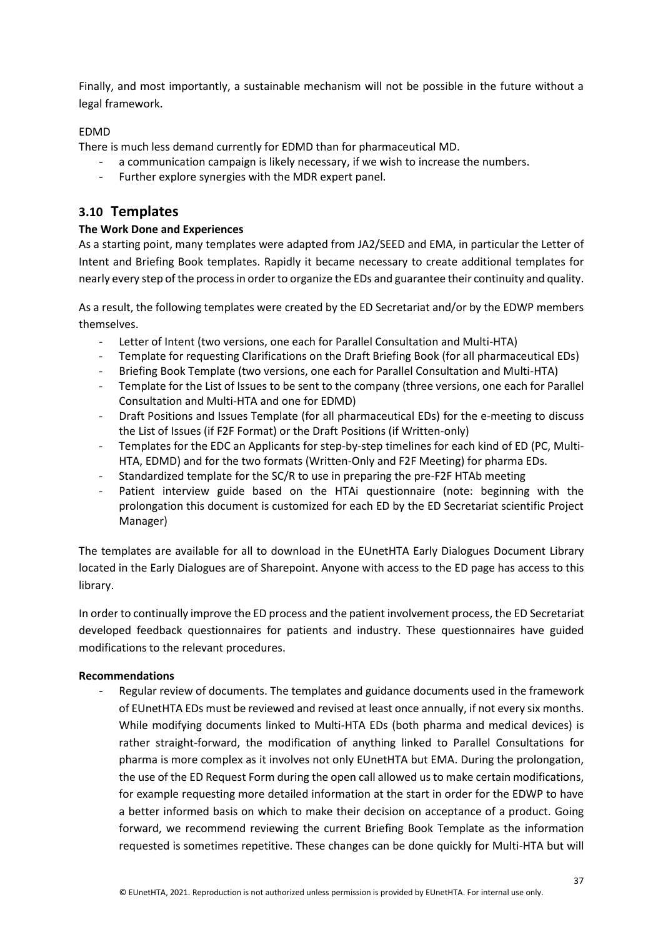Finally, and most importantly, a sustainable mechanism will not be possible in the future without a legal framework.

### EDMD

There is much less demand currently for EDMD than for pharmaceutical MD.

- a communication campaign is likely necessary, if we wish to increase the numbers.
- Further explore synergies with the MDR expert panel.

# <span id="page-36-0"></span>**3.10 Templates**

### **The Work Done and Experiences**

As a starting point, many templates were adapted from JA2/SEED and EMA, in particular the Letter of Intent and Briefing Book templates. Rapidly it became necessary to create additional templates for nearly every step of the process in order to organize the EDs and guarantee their continuity and quality.

As a result, the following templates were created by the ED Secretariat and/or by the EDWP members themselves.

- Letter of Intent (two versions, one each for Parallel Consultation and Multi-HTA)
- Template for requesting Clarifications on the Draft Briefing Book (for all pharmaceutical EDs)
- Briefing Book Template (two versions, one each for Parallel Consultation and Multi-HTA)
- Template for the List of Issues to be sent to the company (three versions, one each for Parallel Consultation and Multi-HTA and one for EDMD)
- Draft Positions and Issues Template (for all pharmaceutical EDs) for the e-meeting to discuss the List of Issues (if F2F Format) or the Draft Positions (if Written-only)
- Templates for the EDC an Applicants for step-by-step timelines for each kind of ED (PC, Multi-HTA, EDMD) and for the two formats (Written-Only and F2F Meeting) for pharma EDs.
- Standardized template for the SC/R to use in preparing the pre-F2F HTAb meeting
- Patient interview guide based on the HTAi questionnaire (note: beginning with the prolongation this document is customized for each ED by the ED Secretariat scientific Project Manager)

The templates are available for all to download in the EUnetHTA Early Dialogues Document Library located in the Early Dialogues are of Sharepoint. Anyone with access to the ED page has access to this library.

In order to continually improve the ED process and the patient involvement process, the ED Secretariat developed feedback questionnaires for patients and industry. These questionnaires have guided modifications to the relevant procedures.

#### **Recommendations**

- Regular review of documents. The templates and guidance documents used in the framework of EUnetHTA EDs must be reviewed and revised at least once annually, if not every six months. While modifying documents linked to Multi-HTA EDs (both pharma and medical devices) is rather straight-forward, the modification of anything linked to Parallel Consultations for pharma is more complex as it involves not only EUnetHTA but EMA. During the prolongation, the use of the ED Request Form during the open call allowed us to make certain modifications, for example requesting more detailed information at the start in order for the EDWP to have a better informed basis on which to make their decision on acceptance of a product. Going forward, we recommend reviewing the current Briefing Book Template as the information requested is sometimes repetitive. These changes can be done quickly for Multi-HTA but will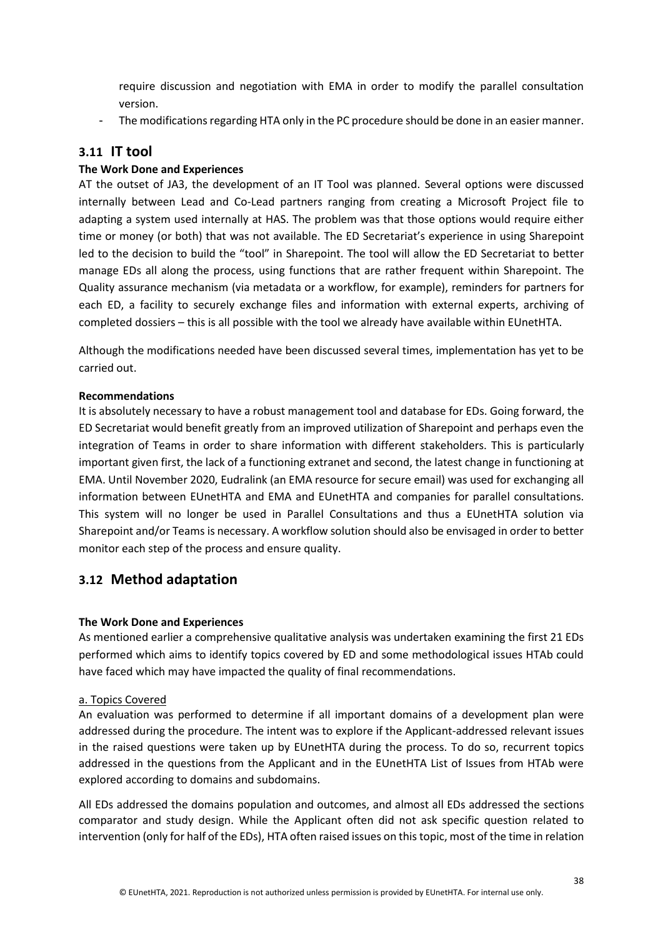require discussion and negotiation with EMA in order to modify the parallel consultation version.

- The modifications regarding HTA only in the PC procedure should be done in an easier manner.

## <span id="page-37-0"></span>**3.11 IT tool**

#### **The Work Done and Experiences**

AT the outset of JA3, the development of an IT Tool was planned. Several options were discussed internally between Lead and Co-Lead partners ranging from creating a Microsoft Project file to adapting a system used internally at HAS. The problem was that those options would require either time or money (or both) that was not available. The ED Secretariat's experience in using Sharepoint led to the decision to build the "tool" in Sharepoint. The tool will allow the ED Secretariat to better manage EDs all along the process, using functions that are rather frequent within Sharepoint. The Quality assurance mechanism (via metadata or a workflow, for example), reminders for partners for each ED, a facility to securely exchange files and information with external experts, archiving of completed dossiers – this is all possible with the tool we already have available within EUnetHTA.

Although the modifications needed have been discussed several times, implementation has yet to be carried out.

#### **Recommendations**

It is absolutely necessary to have a robust management tool and database for EDs. Going forward, the ED Secretariat would benefit greatly from an improved utilization of Sharepoint and perhaps even the integration of Teams in order to share information with different stakeholders. This is particularly important given first, the lack of a functioning extranet and second, the latest change in functioning at EMA. Until November 2020, Eudralink (an EMA resource for secure email) was used for exchanging all information between EUnetHTA and EMA and EUnetHTA and companies for parallel consultations. This system will no longer be used in Parallel Consultations and thus a EUnetHTA solution via Sharepoint and/or Teams is necessary. A workflow solution should also be envisaged in order to better monitor each step of the process and ensure quality.

## <span id="page-37-1"></span>**3.12 Method adaptation**

#### **The Work Done and Experiences**

As mentioned earlier a comprehensive qualitative analysis was undertaken examining the first 21 EDs performed which aims to identify topics covered by ED and some methodological issues HTAb could have faced which may have impacted the quality of final recommendations.

#### a. Topics Covered

An evaluation was performed to determine if all important domains of a development plan were addressed during the procedure. The intent was to explore if the Applicant-addressed relevant issues in the raised questions were taken up by EUnetHTA during the process. To do so, recurrent topics addressed in the questions from the Applicant and in the EUnetHTA List of Issues from HTAb were explored according to domains and subdomains.

All EDs addressed the domains population and outcomes, and almost all EDs addressed the sections comparator and study design. While the Applicant often did not ask specific question related to intervention (only for half of the EDs), HTA often raised issues on this topic, most of the time in relation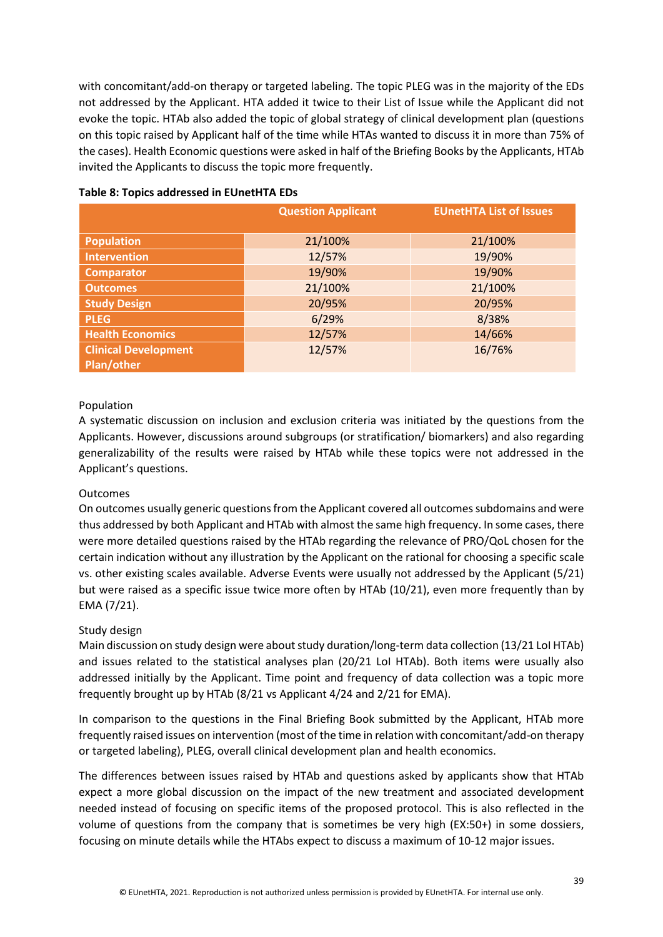with concomitant/add-on therapy or targeted labeling. The topic PLEG was in the majority of the EDs not addressed by the Applicant. HTA added it twice to their List of Issue while the Applicant did not evoke the topic. HTAb also added the topic of global strategy of clinical development plan (questions on this topic raised by Applicant half of the time while HTAs wanted to discuss it in more than 75% of the cases). Health Economic questions were asked in half of the Briefing Books by the Applicants, HTAb invited the Applicants to discuss the topic more frequently.

|                             | <b>Question Applicant</b> | <b>EUnetHTA List of Issues</b> |
|-----------------------------|---------------------------|--------------------------------|
| <b>Population</b>           | 21/100%                   | 21/100%                        |
| <b>Intervention</b>         | 12/57%                    | 19/90%                         |
| Comparator                  | 19/90%                    | 19/90%                         |
| <b>Outcomes</b>             | 21/100%                   | 21/100%                        |
| <b>Study Design</b>         | 20/95%                    | 20/95%                         |
| <b>PLEG</b>                 | 6/29%                     | 8/38%                          |
| <b>Health Economics</b>     | 12/57%                    | 14/66%                         |
| <b>Clinical Development</b> | 12/57%                    | 16/76%                         |
| Plan/other                  |                           |                                |

#### **Table 8: Topics addressed in EUnetHTA EDs**

#### Population

A systematic discussion on inclusion and exclusion criteria was initiated by the questions from the Applicants. However, discussions around subgroups (or stratification/ biomarkers) and also regarding generalizability of the results were raised by HTAb while these topics were not addressed in the Applicant's questions.

#### Outcomes

On outcomes usually generic questions from the Applicant covered all outcomes subdomains and were thus addressed by both Applicant and HTAb with almost the same high frequency. In some cases, there were more detailed questions raised by the HTAb regarding the relevance of PRO/QoL chosen for the certain indication without any illustration by the Applicant on the rational for choosing a specific scale vs. other existing scales available. Adverse Events were usually not addressed by the Applicant (5/21) but were raised as a specific issue twice more often by HTAb (10/21), even more frequently than by EMA (7/21).

#### Study design

Main discussion on study design were about study duration/long-term data collection (13/21 LoI HTAb) and issues related to the statistical analyses plan (20/21 LoI HTAb). Both items were usually also addressed initially by the Applicant. Time point and frequency of data collection was a topic more frequently brought up by HTAb (8/21 vs Applicant 4/24 and 2/21 for EMA).

In comparison to the questions in the Final Briefing Book submitted by the Applicant, HTAb more frequently raised issues on intervention (most of the time in relation with concomitant/add-on therapy or targeted labeling), PLEG, overall clinical development plan and health economics.

The differences between issues raised by HTAb and questions asked by applicants show that HTAb expect a more global discussion on the impact of the new treatment and associated development needed instead of focusing on specific items of the proposed protocol. This is also reflected in the volume of questions from the company that is sometimes be very high (EX:50+) in some dossiers, focusing on minute details while the HTAbs expect to discuss a maximum of 10-12 major issues.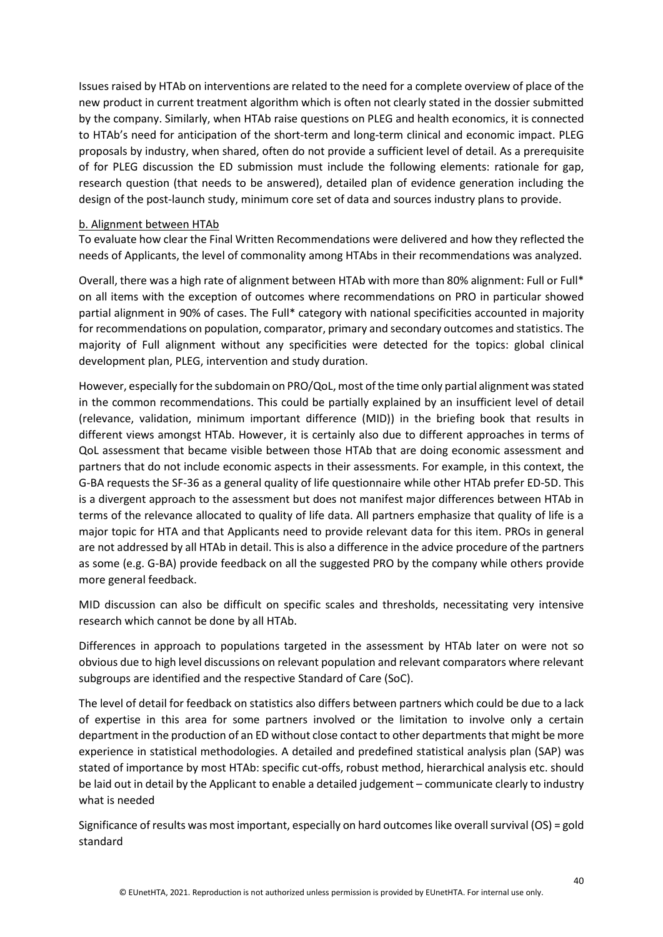Issues raised by HTAb on interventions are related to the need for a complete overview of place of the new product in current treatment algorithm which is often not clearly stated in the dossier submitted by the company. Similarly, when HTAb raise questions on PLEG and health economics, it is connected to HTAb's need for anticipation of the short-term and long-term clinical and economic impact. PLEG proposals by industry, when shared, often do not provide a sufficient level of detail. As a prerequisite of for PLEG discussion the ED submission must include the following elements: rationale for gap, research question (that needs to be answered), detailed plan of evidence generation including the design of the post-launch study, minimum core set of data and sources industry plans to provide.

#### b. Alignment between HTAb

To evaluate how clear the Final Written Recommendations were delivered and how they reflected the needs of Applicants, the level of commonality among HTAbs in their recommendations was analyzed.

Overall, there was a high rate of alignment between HTAb with more than 80% alignment: Full or Full\* on all items with the exception of outcomes where recommendations on PRO in particular showed partial alignment in 90% of cases. The Full\* category with national specificities accounted in majority for recommendations on population, comparator, primary and secondary outcomes and statistics. The majority of Full alignment without any specificities were detected for the topics: global clinical development plan, PLEG, intervention and study duration.

However, especially for the subdomain on PRO/QoL, most of the time only partial alignment was stated in the common recommendations. This could be partially explained by an insufficient level of detail (relevance, validation, minimum important difference (MID)) in the briefing book that results in different views amongst HTAb. However, it is certainly also due to different approaches in terms of QoL assessment that became visible between those HTAb that are doing economic assessment and partners that do not include economic aspects in their assessments. For example, in this context, the G-BA requests the SF-36 as a general quality of life questionnaire while other HTAb prefer ED-5D. This is a divergent approach to the assessment but does not manifest major differences between HTAb in terms of the relevance allocated to quality of life data. All partners emphasize that quality of life is a major topic for HTA and that Applicants need to provide relevant data for this item. PROs in general are not addressed by all HTAb in detail. This is also a difference in the advice procedure of the partners as some (e.g. G-BA) provide feedback on all the suggested PRO by the company while others provide more general feedback.

MID discussion can also be difficult on specific scales and thresholds, necessitating very intensive research which cannot be done by all HTAb.

Differences in approach to populations targeted in the assessment by HTAb later on were not so obvious due to high level discussions on relevant population and relevant comparators where relevant subgroups are identified and the respective Standard of Care (SoC).

The level of detail for feedback on statistics also differs between partners which could be due to a lack of expertise in this area for some partners involved or the limitation to involve only a certain department in the production of an ED without close contact to other departments that might be more experience in statistical methodologies. A detailed and predefined statistical analysis plan (SAP) was stated of importance by most HTAb: specific cut-offs, robust method, hierarchical analysis etc. should be laid out in detail by the Applicant to enable a detailed judgement – communicate clearly to industry what is needed

Significance of results was most important, especially on hard outcomes like overall survival (OS) = gold standard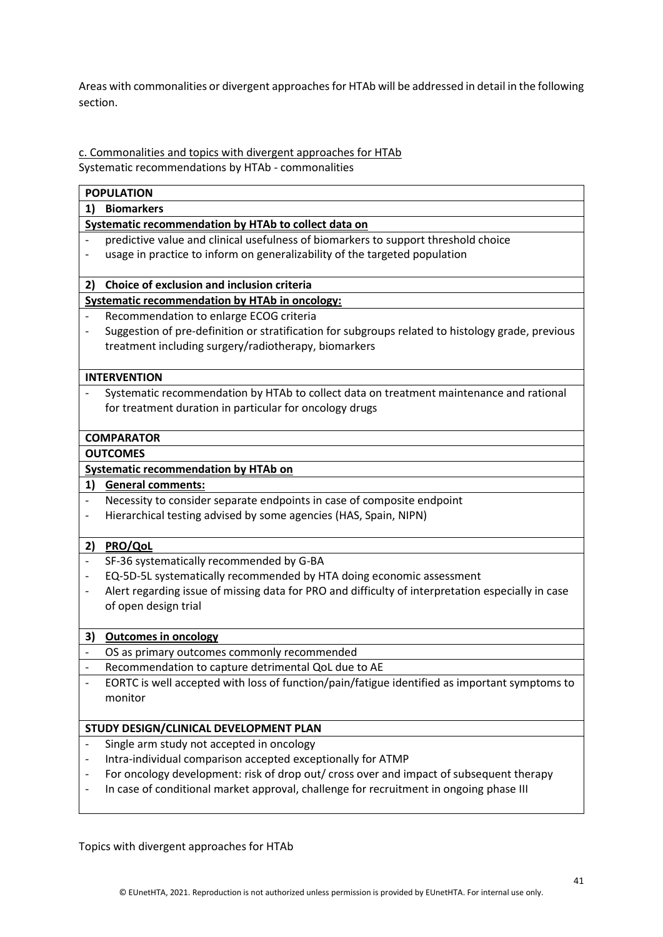Areas with commonalities or divergent approaches for HTAb will be addressed in detail in the following section.

c. Commonalities and topics with divergent approaches for HTAb Systematic recommendations by HTAb - commonalities

|    | <b>POPULATION</b>                                                                                 |
|----|---------------------------------------------------------------------------------------------------|
| 1) | <b>Biomarkers</b>                                                                                 |
|    | Systematic recommendation by HTAb to collect data on                                              |
|    | predictive value and clinical usefulness of biomarkers to support threshold choice                |
|    | usage in practice to inform on generalizability of the targeted population                        |
|    |                                                                                                   |
| 2) | Choice of exclusion and inclusion criteria                                                        |
|    | <b>Systematic recommendation by HTAb in oncology:</b>                                             |
|    | Recommendation to enlarge ECOG criteria                                                           |
|    | Suggestion of pre-definition or stratification for subgroups related to histology grade, previous |
|    | treatment including surgery/radiotherapy, biomarkers                                              |
|    |                                                                                                   |
|    | <b>INTERVENTION</b>                                                                               |
|    | Systematic recommendation by HTAb to collect data on treatment maintenance and rational           |
|    | for treatment duration in particular for oncology drugs                                           |
|    |                                                                                                   |
|    | <b>COMPARATOR</b>                                                                                 |
|    | <b>OUTCOMES</b>                                                                                   |
|    | <b>Systematic recommendation by HTAb on</b>                                                       |
| 1) | <b>General comments:</b>                                                                          |
|    | Necessity to consider separate endpoints in case of composite endpoint                            |
|    | Hierarchical testing advised by some agencies (HAS, Spain, NIPN)                                  |
|    |                                                                                                   |
| 2) | <b>PRO/QoL</b>                                                                                    |
|    | SF-36 systematically recommended by G-BA                                                          |
|    | EQ-5D-5L systematically recommended by HTA doing economic assessment                              |
|    | Alert regarding issue of missing data for PRO and difficulty of interpretation especially in case |
|    | of open design trial                                                                              |
|    |                                                                                                   |
| 3) | <b>Outcomes in oncology</b>                                                                       |
|    | OS as primary outcomes commonly recommended                                                       |
|    | Recommendation to capture detrimental QoL due to AE                                               |
|    | EORTC is well accepted with loss of function/pain/fatigue identified as important symptoms to     |
|    | monitor                                                                                           |
|    |                                                                                                   |
|    | STUDY DESIGN/CLINICAL DEVELOPMENT PLAN                                                            |
|    | Single arm study not accepted in oncology                                                         |
|    | Intra-individual comparison accepted exceptionally for ATMP                                       |
|    | For oncology development: risk of drop out/ cross over and impact of subsequent therapy           |
|    | In case of conditional market approval, challenge for recruitment in ongoing phase III            |
|    |                                                                                                   |

Topics with divergent approaches for HTAb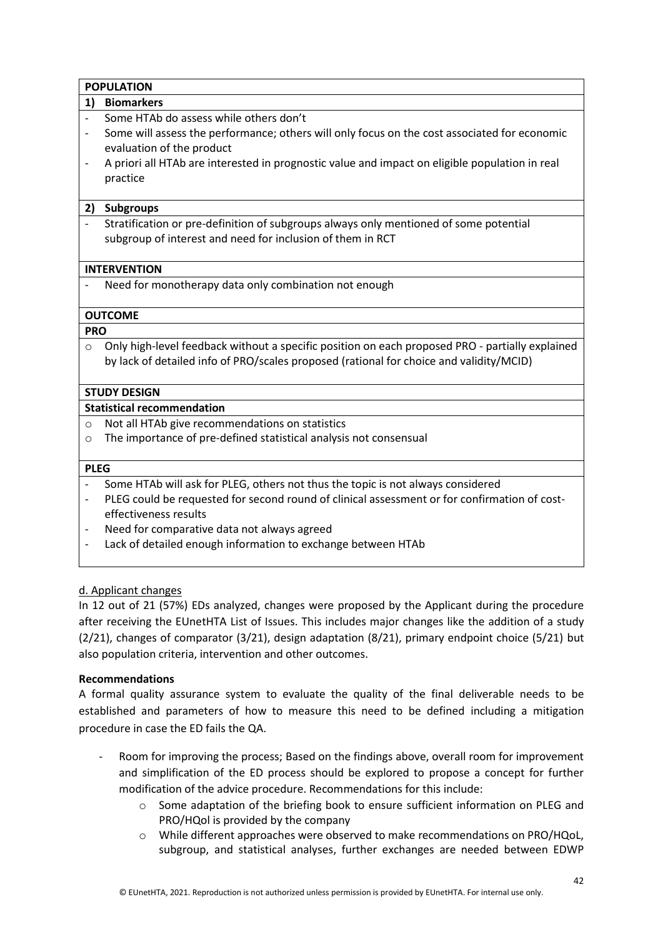|                | <b>POPULATION</b>                                                                               |  |  |  |  |  |
|----------------|-------------------------------------------------------------------------------------------------|--|--|--|--|--|
| 1)             | <b>Biomarkers</b>                                                                               |  |  |  |  |  |
|                | Some HTAb do assess while others don't                                                          |  |  |  |  |  |
|                | Some will assess the performance; others will only focus on the cost associated for economic    |  |  |  |  |  |
|                | evaluation of the product                                                                       |  |  |  |  |  |
|                | A priori all HTAb are interested in prognostic value and impact on eligible population in real  |  |  |  |  |  |
|                | practice                                                                                        |  |  |  |  |  |
|                |                                                                                                 |  |  |  |  |  |
| 2)             | <b>Subgroups</b>                                                                                |  |  |  |  |  |
|                | Stratification or pre-definition of subgroups always only mentioned of some potential           |  |  |  |  |  |
|                | subgroup of interest and need for inclusion of them in RCT                                      |  |  |  |  |  |
|                |                                                                                                 |  |  |  |  |  |
|                | <b>INTERVENTION</b>                                                                             |  |  |  |  |  |
|                | Need for monotherapy data only combination not enough                                           |  |  |  |  |  |
|                |                                                                                                 |  |  |  |  |  |
|                | <b>OUTCOME</b>                                                                                  |  |  |  |  |  |
| <b>PRO</b>     |                                                                                                 |  |  |  |  |  |
| O              | Only high-level feedback without a specific position on each proposed PRO - partially explained |  |  |  |  |  |
|                | by lack of detailed info of PRO/scales proposed (rational for choice and validity/MCID)         |  |  |  |  |  |
|                |                                                                                                 |  |  |  |  |  |
|                | <b>STUDY DESIGN</b>                                                                             |  |  |  |  |  |
|                | <b>Statistical recommendation</b>                                                               |  |  |  |  |  |
| $\circ$        | Not all HTAb give recommendations on statistics                                                 |  |  |  |  |  |
| $\circ$        | The importance of pre-defined statistical analysis not consensual                               |  |  |  |  |  |
|                |                                                                                                 |  |  |  |  |  |
| <b>PLEG</b>    |                                                                                                 |  |  |  |  |  |
| $\overline{a}$ | Some HTAb will ask for PLEG, others not thus the topic is not always considered                 |  |  |  |  |  |
|                | PLEG could be requested for second round of clinical assessment or for confirmation of cost-    |  |  |  |  |  |
|                | effectiveness results                                                                           |  |  |  |  |  |
|                | Need for comparative data not always agreed                                                     |  |  |  |  |  |

Lack of detailed enough information to exchange between HTAb

## d. Applicant changes

In 12 out of 21 (57%) EDs analyzed, changes were proposed by the Applicant during the procedure after receiving the EUnetHTA List of Issues. This includes major changes like the addition of a study (2/21), changes of comparator (3/21), design adaptation (8/21), primary endpoint choice (5/21) but also population criteria, intervention and other outcomes.

#### **Recommendations**

A formal quality assurance system to evaluate the quality of the final deliverable needs to be established and parameters of how to measure this need to be defined including a mitigation procedure in case the ED fails the QA.

- Room for improving the process; Based on the findings above, overall room for improvement and simplification of the ED process should be explored to propose a concept for further modification of the advice procedure. Recommendations for this include:
	- o Some adaptation of the briefing book to ensure sufficient information on PLEG and PRO/HQol is provided by the company
	- o While different approaches were observed to make recommendations on PRO/HQoL, subgroup, and statistical analyses, further exchanges are needed between EDWP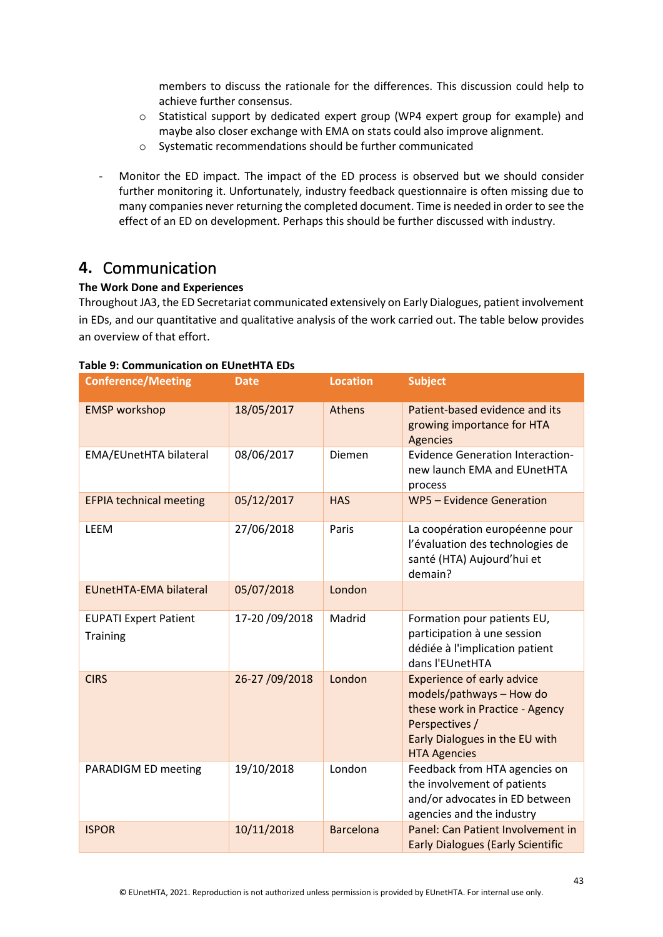members to discuss the rationale for the differences. This discussion could help to achieve further consensus.

- o Statistical support by dedicated expert group (WP4 expert group for example) and maybe also closer exchange with EMA on stats could also improve alignment.
- o Systematic recommendations should be further communicated
- Monitor the ED impact. The impact of the ED process is observed but we should consider further monitoring it. Unfortunately, industry feedback questionnaire is often missing due to many companies never returning the completed document. Time is needed in order to see the effect of an ED on development. Perhaps this should be further discussed with industry.

# <span id="page-42-0"></span>**4.** Communication

#### **The Work Done and Experiences**

Throughout JA3, the ED Secretariat communicated extensively on Early Dialogues, patient involvement in EDs, and our quantitative and qualitative analysis of the work carried out. The table below provides an overview of that effort.

| <b>Conference/Meeting</b>                       | <b>Date</b>    | <b>Location</b>  | <b>Subject</b>                                                                                                                                                              |
|-------------------------------------------------|----------------|------------------|-----------------------------------------------------------------------------------------------------------------------------------------------------------------------------|
| <b>EMSP</b> workshop                            | 18/05/2017     | Athens           | Patient-based evidence and its<br>growing importance for HTA<br><b>Agencies</b>                                                                                             |
| EMA/EUnetHTA bilateral                          | 08/06/2017     | Diemen           | <b>Evidence Generation Interaction-</b><br>new launch EMA and EUnetHTA<br>process                                                                                           |
| <b>EFPIA technical meeting</b>                  | 05/12/2017     | <b>HAS</b>       | WP5 - Evidence Generation                                                                                                                                                   |
| <b>LEEM</b>                                     | 27/06/2018     | Paris            | La coopération européenne pour<br>l'évaluation des technologies de<br>santé (HTA) Aujourd'hui et<br>demain?                                                                 |
| <b>EUnetHTA-EMA bilateral</b>                   | 05/07/2018     | London           |                                                                                                                                                                             |
| <b>EUPATI Expert Patient</b><br><b>Training</b> | 17-20 /09/2018 | Madrid           | Formation pour patients EU,<br>participation à une session<br>dédiée à l'implication patient<br>dans l'EUnetHTA                                                             |
| <b>CIRS</b>                                     | 26-27 /09/2018 | London           | <b>Experience of early advice</b><br>models/pathways - How do<br>these work in Practice - Agency<br>Perspectives /<br>Early Dialogues in the EU with<br><b>HTA Agencies</b> |
| PARADIGM ED meeting                             | 19/10/2018     | London           | Feedback from HTA agencies on<br>the involvement of patients<br>and/or advocates in ED between<br>agencies and the industry                                                 |
| <b>ISPOR</b>                                    | 10/11/2018     | <b>Barcelona</b> | Panel: Can Patient Involvement in<br><b>Early Dialogues (Early Scientific</b>                                                                                               |

#### **Table 9: Communication on EUnetHTA EDs**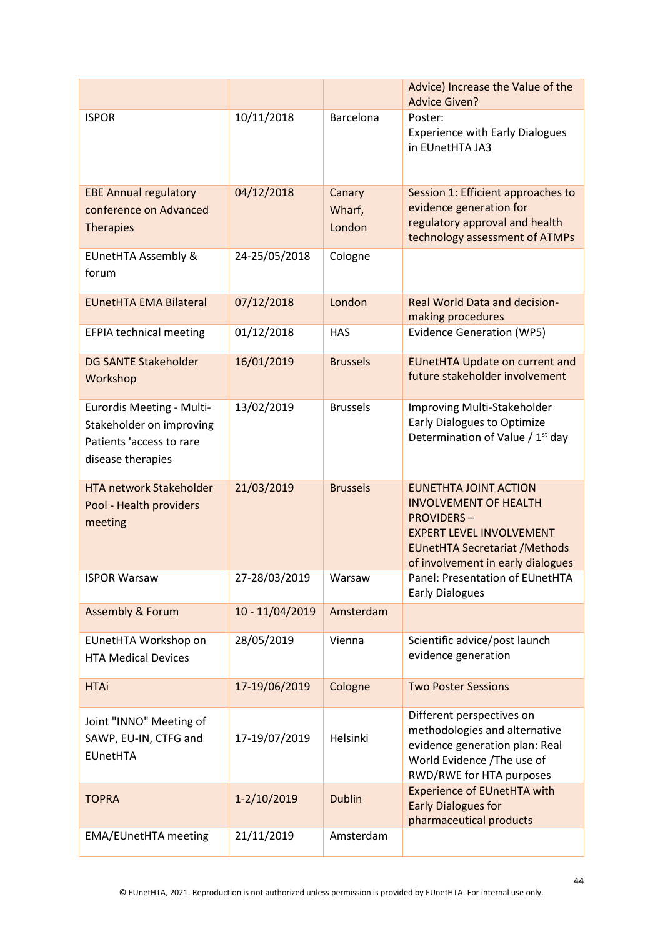|                                                                                                        |                 |                            | Advice) Increase the Value of the                                                                                                                                                                  |
|--------------------------------------------------------------------------------------------------------|-----------------|----------------------------|----------------------------------------------------------------------------------------------------------------------------------------------------------------------------------------------------|
|                                                                                                        |                 |                            | <b>Advice Given?</b>                                                                                                                                                                               |
| <b>ISPOR</b>                                                                                           | 10/11/2018      | Barcelona                  | Poster:<br><b>Experience with Early Dialogues</b><br>in EUnetHTA JA3                                                                                                                               |
| <b>EBE Annual regulatory</b><br>conference on Advanced<br><b>Therapies</b>                             | 04/12/2018      | Canary<br>Wharf,<br>London | Session 1: Efficient approaches to<br>evidence generation for<br>regulatory approval and health<br>technology assessment of ATMPs                                                                  |
| <b>EUnetHTA Assembly &amp;</b><br>forum                                                                | 24-25/05/2018   | Cologne                    |                                                                                                                                                                                                    |
| <b>EUnetHTA EMA Bilateral</b>                                                                          | 07/12/2018      | London                     | <b>Real World Data and decision-</b><br>making procedures                                                                                                                                          |
| <b>EFPIA technical meeting</b>                                                                         | 01/12/2018      | <b>HAS</b>                 | <b>Evidence Generation (WP5)</b>                                                                                                                                                                   |
| <b>DG SANTE Stakeholder</b><br>Workshop                                                                | 16/01/2019      | <b>Brussels</b>            | <b>EUnetHTA Update on current and</b><br>future stakeholder involvement                                                                                                                            |
| Eurordis Meeting - Multi-<br>Stakeholder on improving<br>Patients 'access to rare<br>disease therapies | 13/02/2019      | <b>Brussels</b>            | Improving Multi-Stakeholder<br><b>Early Dialogues to Optimize</b><br>Determination of Value / 1 <sup>st</sup> day                                                                                  |
| <b>HTA network Stakeholder</b><br>Pool - Health providers<br>meeting                                   | 21/03/2019      | <b>Brussels</b>            | <b>EUNETHTA JOINT ACTION</b><br><b>INVOLVEMENT OF HEALTH</b><br><b>PROVIDERS-</b><br><b>EXPERT LEVEL INVOLVEMENT</b><br><b>EUnetHTA Secretariat / Methods</b><br>of involvement in early dialogues |
| <b>ISPOR Warsaw</b>                                                                                    | 27-28/03/2019   | Warsaw                     | Panel: Presentation of EUnetHTA<br><b>Early Dialogues</b>                                                                                                                                          |
| <b>Assembly &amp; Forum</b>                                                                            | 10 - 11/04/2019 | Amsterdam                  |                                                                                                                                                                                                    |
| EUnetHTA Workshop on<br><b>HTA Medical Devices</b>                                                     | 28/05/2019      | Vienna                     | Scientific advice/post launch<br>evidence generation                                                                                                                                               |
| <b>HTAi</b>                                                                                            | 17-19/06/2019   | Cologne                    | <b>Two Poster Sessions</b>                                                                                                                                                                         |
| Joint "INNO" Meeting of<br>SAWP, EU-IN, CTFG and<br><b>EUnetHTA</b>                                    | 17-19/07/2019   | Helsinki                   | Different perspectives on<br>methodologies and alternative<br>evidence generation plan: Real<br>World Evidence /The use of<br>RWD/RWE for HTA purposes                                             |
| <b>TOPRA</b>                                                                                           | 1-2/10/2019     | <b>Dublin</b>              | <b>Experience of EUnetHTA with</b><br><b>Early Dialogues for</b><br>pharmaceutical products                                                                                                        |
| <b>EMA/EUnetHTA meeting</b>                                                                            | 21/11/2019      | Amsterdam                  |                                                                                                                                                                                                    |